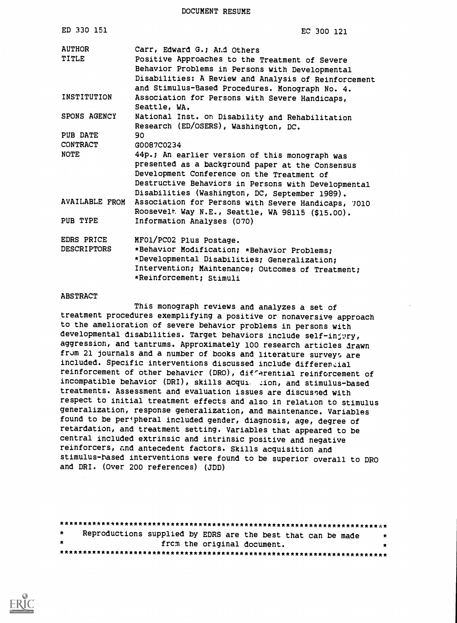DOCUMENT RESUME

| ED 330 151                       | EC 300 121                                                                                                                                                 |
|----------------------------------|------------------------------------------------------------------------------------------------------------------------------------------------------------|
| <b>AUTHOR</b><br>TITLE           | Carr, Edward G.; And Others<br>Positive Approaches to the Treatment of Severe                                                                              |
|                                  | Behavior Problems in Persons with Developmental<br>Disabilities: A Review and Analysis of Reinforcement<br>and Stimulus-Based Procedures. Monograph No. 4. |
| INSTITUTION                      | Association for Persons with Severe Handicaps,<br>Seattle, WA.                                                                                             |
| SPONS AGENCY                     | National Inst. on Disability and Rehabilitation<br>Research (ED/OSERS), Washington, DC.                                                                    |
| PUB DATE                         | 90                                                                                                                                                         |
| <b>CONTRACT</b>                  | G0087C0234                                                                                                                                                 |
| NOTE                             | 44p.; An earlier version of this monograph was                                                                                                             |
|                                  | presented as a background paper at the Consensus                                                                                                           |
|                                  | Development Conference on the Treatment of                                                                                                                 |
|                                  | Destructive Behaviors in Persons with Developmental                                                                                                        |
| AVAILABLE FROM                   | Disabilities (Washington, DC, September 1989).                                                                                                             |
|                                  | Association for Persons with Severe Handicaps, 7010<br>Roosevelt Way N.E., Seattle, WA 98115 (\$15.00).                                                    |
| PUB TYPE                         | Information Analyses (070)                                                                                                                                 |
| EDRS PRICE<br><b>DESCRIPTORS</b> | MF01/PC02 Plus Postage.                                                                                                                                    |
|                                  | *Behavior Modification; *Behavior Problems;<br>*Developmental Disabilities; Generalization;                                                                |
|                                  | Intervention; Maintenance; Outcomes of Treatment;                                                                                                          |
|                                  | *Reinforcement; Stimuli                                                                                                                                    |

#### **ABSTRACT**

This monograph reviews and analyzes a set of treatment procedures exemplifying a positive or nonaversive approach to the amelioration of severe behavior problems in persons with developmental disabilities. Target behaviors include self-injury, aggression, and tantrums. Approximately 100 research articles drawn from 21 journals and a number of books and literature surveys are included. Specific interventions discussed include differenial reinforcement of other behavior (DRO), difrerential reinforcement of incompatible behavior (DRI), skills acqui. zion, and stimulus-based treatments. Assessment and evaluation issues are discussed with respect to initial treatment effects and also in relation to stimulus generalization, response generalization, and maintenance. Variables found to be peripheral included gender, diagnosis, age, degree of retardation, and treatment setting. Variables that appeared to be central included extrinsic and intrinsic positive and negative reinforcers, and antecedent factors. Skills acquisition and stimulus-hased interventions were found to be superior overall to DRO and DRI. (Over 200 references) (JDD)

| $\star$ | Reproductions supplied by EDRS are the best that can be made | * |  |
|---------|--------------------------------------------------------------|---|--|
| $\star$ | from the original document.                                  |   |  |
|         |                                                              |   |  |

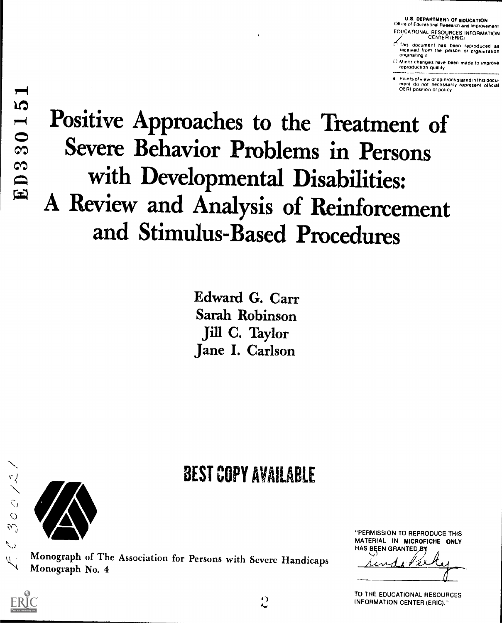U.S. DEPARTMEN7 OF EDUCATION Office ot Educational Research and Improvement EDUCATIONAL RESOURCES INFORMATION CENTER (ERIC)

r This document has been reproduced as received from the person or organization originating it

[I Minor changes have been made to improve reproduction quality

Points 01 view or opinions stated in this docu-<br>ment :do: not :necessarily :represent: official<br>OERI position or policy

Positive Approaches to the Treatment of Severe Behavior Problems in Persons with Developmental Disabilities: A Review and Analysis of Reinforcement and Stimulus-Based Procedures

> Edward G. Carr Sarah Robinson Jill C. Taylor Jane I. Carlson

# BEST COPY AVAILABLE



 $41$ 



Monograph of The Association for Persons with Severe Handicaps Monograph No. 4

"PERMISSION TO REPRODUCE THIS MATERIAL IN MICROFICHE ONLY HAS BEEN GRANTED BY

 $\sim$  1114144

TO THE EDUCATIONAL RESOURCES INFORMATION CENTER (EPIC)."

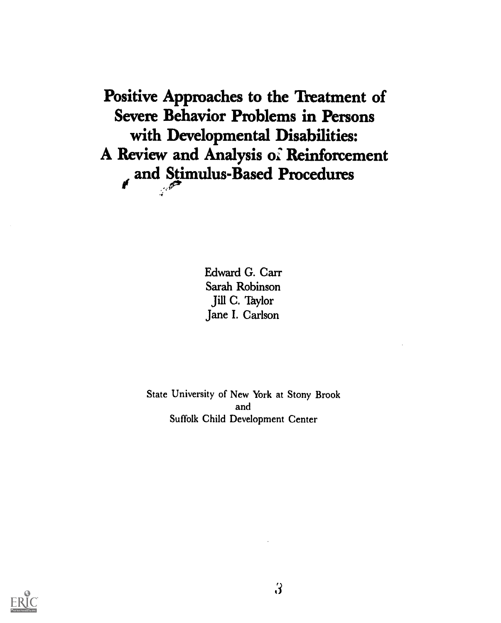Positive Approaches to the Treatment of Severe Behavior Problems in Persons with Developmental Disabilities: A Review and Analysis oi Reinforcement and Stimulus-Based Procedures

> Edward G. Carr Sarah Robinson Jill C. Taylor Jane I. Carlson

State University of New York at Stony Brook and Suffolk Child Development Center

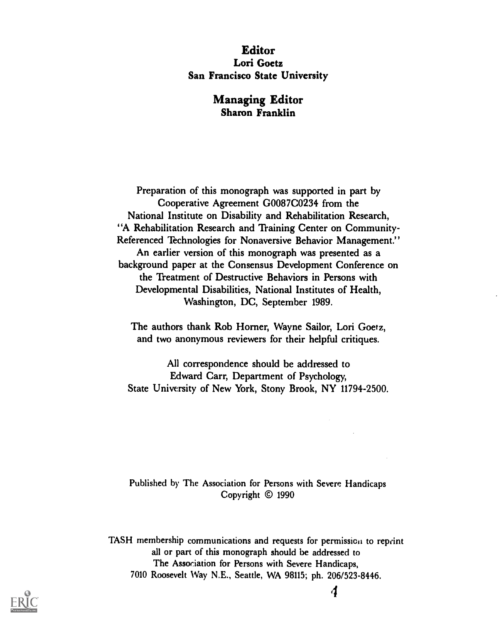# Editor Lori Goetz San Francisco State University

# Managing Editor Sharon Franklin

Preparation of this monograph was supported in part by Cooperative Agreement G0087C0234 from the National Institute on Disability and Rehabilitation Research, 'A Rehabilitation Research and Training Center on Community-Referenced Technologies for Nonaversive Behavior Management." An earlier version of this monograph was presented as a background paper at the Consensus Development Conference on the 'freatment of Destructive Behaviors in Persons with Developmental Disabilities, National Institutes of Health, Washington, DC, September 1989.

The authors thank Rob Homer, Wayne Sailor, Lori Goetz, and two anonymous reviewers for their helpful critiques.

All correspondence should be addressed to Edward Carr, Department of Psychology, State University of New York, Stony Brook, NY 11794-2500.

Published by The Association for Persons with Severe Handicaps Copyright © 1990

TASH membership communications and requests for permission to reprint all or part of this monograph should be addressed to The Association for Persons with Severe Handicaps, 7010 Roosevelt Way N.E., Seattle, WA 98115; ph. 206/523-8446.



4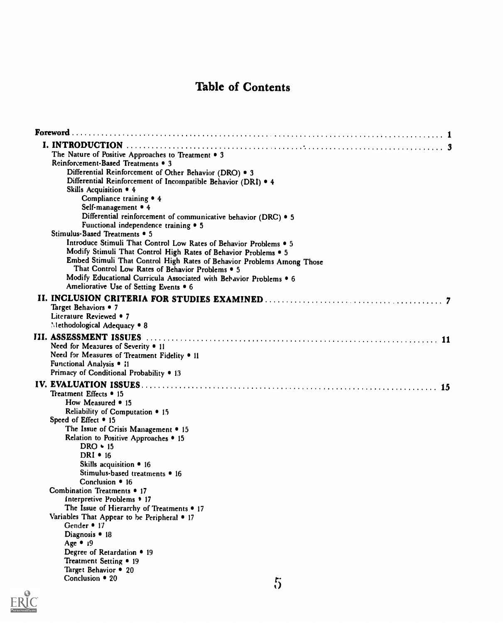# Table of Contents

| The Nature of Positive Approaches to Treatment . 3                     |
|------------------------------------------------------------------------|
| Reinforcement-Based Treatments • 3                                     |
| Differential Reinforcement of Other Behavior (DRO) . 3                 |
| Differential Reinforcement of Incompatible Behavior (DRI) . 4          |
| Skills Acquisition • 4                                                 |
| Compliance training $\bullet$ 4                                        |
| Self-management • 4                                                    |
| Differential reinforcement of communicative behavior (DRC) . 5         |
| Functional independence training $\bullet$ 5                           |
| Stimulus-Based Treatments • 5                                          |
| Introduce Stimuli That Control Low Rates of Behavior Problems . 5      |
| Modify Stimuli That Control High Rates of Behavior Problems . 5        |
| Embed Stimuli That Control High Rates of Behavior Problems Among Those |
| That Control Low Rates of Behavior Problems . 5                        |
| Modify Educational Curricula Associated with Behavior Problems . 6     |
| Ameliorative Use of Setting Events • 6                                 |
|                                                                        |
| Target Behaviors • 7                                                   |
| Literature Reviewed • 7                                                |
| Methodological Adequacy . 8                                            |
|                                                                        |
| III. ASSESSMENT ISSUES                                                 |
| Need for Measures of Severity • 11                                     |
| Need for Measures of Treatment Fidelity • 11                           |
| Functional Analysis • 11                                               |
| Primacy of Conditional Probability . 13                                |
|                                                                        |
| Treatment Effects • 15                                                 |
| How Measured • 15                                                      |
| Reliability of Computation $\bullet$ 15                                |
| Speed of Effect • 15                                                   |
| The Issue of Crisis Management • 15                                    |
| Relation to Positive Approaches • 15                                   |
| $DRO \cdot 15$                                                         |
| DRI $\cdot$ 16                                                         |
| Skills acquisition • 16                                                |
| Stimulus-based treatments • 16                                         |
| Conclusion $\bullet$ 16                                                |
| Combination Treatments • 17                                            |
| Interpretive Problems • 17                                             |
| The Issue of Hierarchy of Treatments • 17                              |
| Variables That Appear to be Peripheral • 17                            |
| Gender • 17                                                            |
| Diagnosis • 18                                                         |
| Age • 19                                                               |
| Degree of Retardation • 19                                             |
| Treatment Setting • 19                                                 |
| Target Behavior • 20                                                   |
| Conclusion • 20<br>r.                                                  |
|                                                                        |

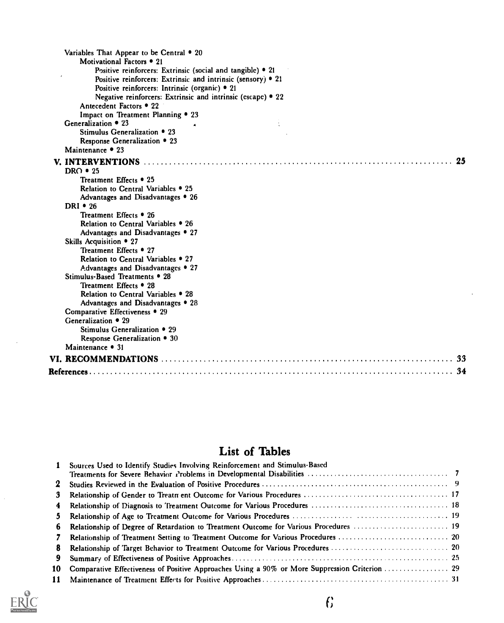| Variables That Appear to be Central • 20                           |
|--------------------------------------------------------------------|
| Motivational Factors • 21                                          |
| Positive reinforcers: Extrinsic (social and tangible) $\bullet$ 21 |
| Positive reinforcers: Extrinsic and intrinsic (sensory) • 21       |
| Positive reinforcers: Intrinsic (organic) • 21                     |
| Negative reinforcers: Extrinsic and intrinsic (escape) • 22        |
| Antecedent Factors • 22                                            |
| Impact on Treatment Planning . 23                                  |
| Generalization • 23                                                |
| Stimulus Generalization • 23                                       |
| Response Generalization • 23                                       |
| Maintenance • 23                                                   |
|                                                                    |
| DRO $\cdot$ 25                                                     |
| Treatment Effects • 25                                             |
| Relation to Central Variables • 25                                 |
| Advantages and Disadvantages • 26                                  |
| DRI $\cdot$ 26                                                     |
| Treatment Effects • 26                                             |
| Relation to Central Variables • 26                                 |
| Advantages and Disadvantages • 27                                  |
| Skills Acquisition • 27                                            |
| Treatment Effects • 27                                             |
| Relation to Central Variables . 27                                 |
| Advantages and Disadvantages • 27                                  |
| Stimulus-Based Treatments • 28                                     |
| Treatment Effects • 28                                             |
| Relation to Central Variables • 28                                 |
| Advantages and Disadvantages • 28                                  |
| Comparative Effectiveness • 29                                     |
| Generalization $\bullet$ 29                                        |
| Stimulus Generalization • 29                                       |
| Response Generalization • 30                                       |
| Maintenance • 31                                                   |
|                                                                    |
|                                                                    |

# List of Tables

| $\mathbf{1}$ | Sources Used to Identify Studies Involving Reinforcement and Stimulus-Based                       |  |
|--------------|---------------------------------------------------------------------------------------------------|--|
|              |                                                                                                   |  |
| $\mathbf{2}$ |                                                                                                   |  |
| 3            |                                                                                                   |  |
| 4            |                                                                                                   |  |
| $5 -$        |                                                                                                   |  |
|              | 6 Relationship of Degree of Retardation to Treatment Outcome for Various Procedures  19           |  |
| 7            |                                                                                                   |  |
| 8            |                                                                                                   |  |
| 9.           |                                                                                                   |  |
|              | 10 Comparative Effectiveness of Positive Approaches Using a 90% or More Suppression Criterion  29 |  |
|              |                                                                                                   |  |



 $\mathbb{R}^2$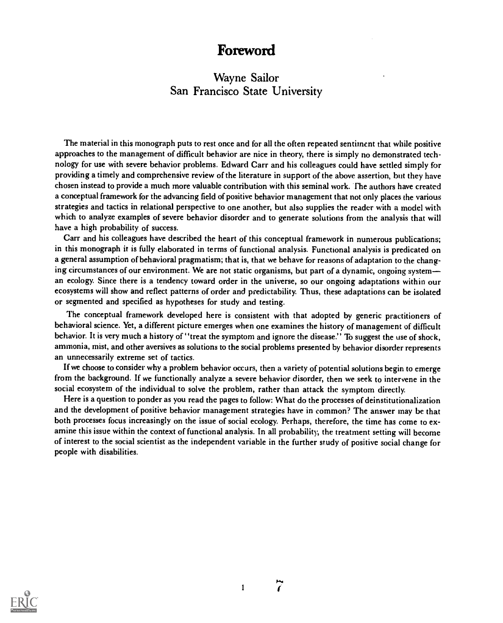# Foreword

# Wayne Sailor San Francisco State University

The material in this monograph puts to rest once and for all the often repeated sentiment that while positive approaches to the management of difficult behavior are nice in theory, there is simply no demonstrated technology for use with severe behavior problems. Edward Carr and his colleagues could have settled simply for providing a timely and comprehensive review of the literature in support of the above assertion, but they have chosen instead to provide a much more valuable contribution with this seminal work. The authors have created a conceptual framework for the advancing field of positive behavior management that not only places the various strategies and tactics in relational perspective to one another, but also supplies the reader with a model with which to analyze examples of severe behavior disorder and to generate solutions from the analysis that will have a high probability of success.

Carr and his colleagues have described the heart of this conceptual framework in numerous publications; in this monograph it is fully elaborated in terms of functional analysis. Functional analysis is predicated on a general assumption of behavioral pragmatism; that is, that we behave for reasons of adaptation to the changing circumstances of our environment. We are not static organisms, but part of a dynamic, ongoing systeman ecology. Since there is a tendency toward order in the universe, so our ongoing adaptations within our ecosystems will show and reflect patterns of order and predictability. Thus, these adaptations can be isolated or segmented and specified as hypotheses for study and testing.

The conceptual framework developed here is consistent with that adopted by generic practitioners of behavioral science. Yet, a different picture emerges when one examines the history of management of difficult behavior. It is very much a history of "treat the symptom and ignore the disease." To suggest the use of shock, ammonia, mist, and other aversives as solutions to the social problems presented by behavior disorder represents an unnecessarily extreme set of tactics.

If we choose to consider why a problem behavior occurs, then a variety of potential solutions begin to emerge from the background. If we functionally analyze a severe behavior disorder, then we seek to intervene in the social ecosystem of the individual to solve the problem, rather than attack the symptom directly.

Here is a question to ponder as you read the pages to follow: What do the processes of deinstitutionalization and the development of positive behavior management strategies have in common? The answer may be that both processes focus increasingly on the issue of social ecology. Perhaps, therefore, the time has come to examine this issue within the context of functional analysis. In all probability, the treatment setting will become of interest to the social scientist as the independent variable in the further study of positive social change for people with disabilities.



1

 $\tilde{I}$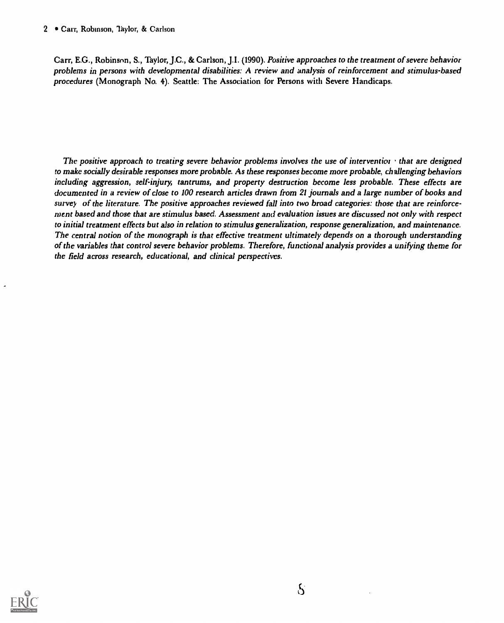Carr, E.G., Robinson, S., Taylor, J.C., & Carlson, J.I. (1990). Positive approaches to the treatment of severe behavior problems in persons with developmental disabilities: A review and analysis of reinforcement and stimulus-based procedures (Monograph No. 4). Seattle: The Association for Persons with Severe Handicaps.

The positive approach to treating severe behavior problems involves the use of interventior that are designed to make socially desirable responses more probable. As these responses become more probable, challenging behaviors including aggression, self-injury, tantrums, and property destruction become less probable. These effects are documented in a review of close to 100 research articles drawn from 21 journals and a large number of books and survey of the literature. The positive approaches reviewed fall into two broad categories: those that are reinforcement based and those that are stimulus based. Assessment and evaluation issues are discussed not only with respect to initial treatment effects but also in relation to stimulus generalization, response generalization, and maintenance. The central notion of the monograph is that effective treatment ultimately depends on a thorough understanding of the variables that control severe behavior problems. Therefore, functional analysis provides a unifying theme for the field across research, educational, and clinical perspectives.

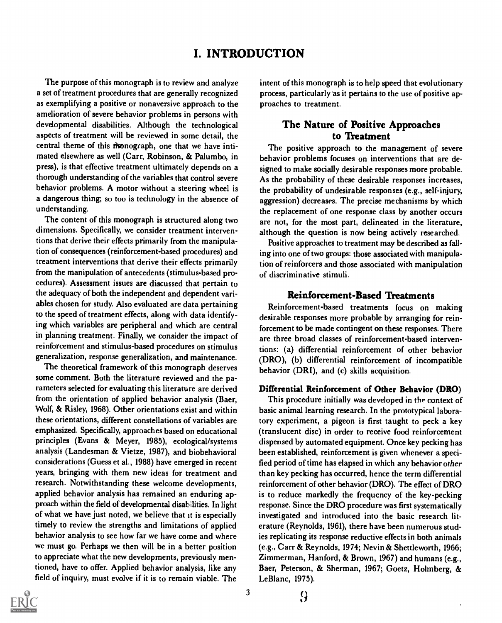# I. INTRODUCTION

The purpose of this monograph is to review and analyze a set of treatment procedures that are generally recognized as exemplifying a positive or nonaversive approach to the amelioration of severe behavior problems in persons with developmental disabilities. Although the technological aspects of treatment will be reviewed in some detail, the central theme of this monograph, one that we have intimated elsewhere as well (Carr, Robinson, & Palumbo, in press), is that effective treatment ultimately depends on a thorough understanding of the variables that control severe behavior problems. A motor without a steering wheel is a dangerous thing; so too is technology in the absence of understanding.

The content of this monograph is structured along two dimensions. Specifically, we consider treatment interventions that derive their effects primarily from the manipulation of consequences (reinforcement-based procedures) and treatment interventions that derive their effects primarily from the manipulation of antecedents (stimulus-based procedures). Assessment issues are discussed that pertain to the adequacy of both the independent and dependent variables chosen for study. Also evaluated are data pertaining to the speed of treatment effects, along with data identifying which variables are peripheral and which are central in planning treatment. Finally, we consider the impact of reinforcement and stimulus-based procedures on stimulus generalization, response generalization, and maintenance.

The theoretical framework of this monograph deserves some comment. Both the literature reviewed and the parameters selected for evaluating this literature are derived from the orientation of applied behavior analysis (Baer, Wolf, & Risley, 1968). Other orientations exist and within these orientations, different constellations of variables are emphasized. Specifically, approaches based on educational principles (Evans & Meyer, 1985), ecological/systems analysis (Landesman & Vietze, 1987), and biobehavioral considerations (Guess et al., 1988) have emerged in recent years, bringing with them new ideas for treatment and research. Notwithstanding these welcome developments, applied behavior analysis has remained an enduring approach within the field of developmental disabilities. In light of what we have just noted, we believe that it is especially timely to review the strengths and limitations of applied behavior analysis to see how far we have come and where we must go. Perhaps we then will be in a better position to appreciate what the new developments, previously mentioned, have to offer. Applied behavior analysis, like any field of inquiry, must evolve if it is to remain viable. The

intent of this monograph is to help speed that evolutionary process, particularly as it pertains to the use of positive approaches to treatment.

# The Nature of Positive Approaches to Treatment

The positive approach to the management of severe behavior problems focuses on interventions that are designed to make socially desirable responses more probable. As the probability of these desirable responses increases, the probability of undesirable responses (e.g., self-injury, aggression) decreases. The precise mechanisms by which the replacement of one response class by another occurs are not, for the most part, delineated in the literature, although the question is now being actively researched.

Positive approaches to treatment may be described as falling into one of two groups: those associated with manipulation of reinforcers and those associated with manipulation of discriminative stimuli.

# Reinforcement-Based Treatments

Reinforcement-based treatments focus on making desirable responses more probable by arranging for reinforcement to be made contingent on these responses. There are three broad classes of reinforcement-based interventions: (a) differential reinforcement of other behavior (DRO), (b) differential reinforcement of incompatible behavior (DRI), and (c) skills acquisition.

#### Differential Reinforcement of Other Behavior (DRO)

This procedure initially was developed in the context of basic animal learning research. In the prototypical laboratory experiment, a pigeon is first taught to peck a key (translucent disc) in order to receive food reinforcement dispensed by automated equipment. Once key pecking has been established, reinforcement is given whenever a specified period of time has elapsed in which any behavior other than key pecking has occurred, hence the term differential reinforcement of other behavior (DRO). The effect of DRO is to reduce markedly the frequency of the key-pecking response. Since the DRO procedure was first systematically investigated and introduced into the basic research literature (Reynolds, 1961), there have been numerous studies replicating its response reductive effects in both animals (e.g., Carr & Reynolds, 1974; Nevin & Shettleworth, 1966; Zimmerman, Hanford, & Brown, 1967) and humans (e.g., Baer, Peterson, & Sherman, 1967; Goetz, Holmberg, & LeBlanc, 1975).

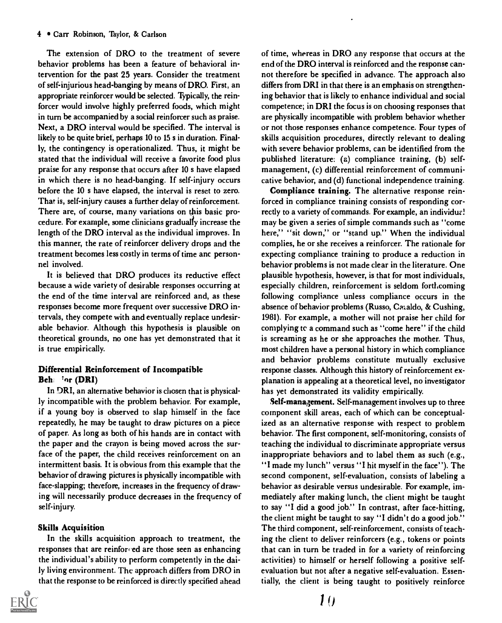The extension of DRO to the treatment of severe behavior problems has been a feature of behavioral intervention for the past 25 years. Consider the treatment of self-injurious head-banging by means of DRO. First, an appropriate reinforcer would be selected. Typically, the reinforcer would involve highly preferred foods, which might in turn be accompanied by a social reinforcer such as praise. Next, a DRO interval would be specified. The interval is likely to be quite brief, perhaps 10 to 15 s in duration. Finally, the contingency is operationalized. Thus, it might be stated that the individual will receive a favorite food plus praise for any response that occurs after 10 s have elapsed in which there is no head-banging. If self-injury occurs before the 10 s have elapsed, the interval is reset to zero. That is, self-injury causes a further delay of reinforcement. There are, of course, many variations on this basic procedure. For example, some clinicians gradually increase the length of the DRO interval as the individual improves. In this manner, the rate of reinforcer delivery drops and the treatment becomes less costly in terms of time and personnel involved.

It is believed that DRO produces its reductive effect because a wide variety of desirable responses occurring at the end of the time interval are reinforced and, as these responses become more frequent over successive DRO intervals, they compete with and eventually replace undesirable behavior. Although this hypothesis is plausible on theoretical grounds, no one has yet demonstrated that it is true empirically.

# Differential Reinforcement of Incompatible Beh: 'or (DRI)

In DRI, an alternative behavior is chosen that is physically incompatible with the problem behavior. For example, if a young boy is observed to slap himself in the face repeatedly, he may be taught to draw pictures on a piece of paper. As long as both of his hands are in contact with the paper and the crayon is being moved across the surface of the paper, the child receives reinforcement on an intermittent basis. It is obvious from this example that the behavior of drawing pictures is physically incompatible with face-slapping; therefore, increases in the frequency of drawing will necessarily produce decreases in the frequency of self-injury.

#### Skilh Acquisition

In the skills acquisition approach to treatment, the responses that are reinforced are those seen as enhancing the individual's ability to perform competently in the daily living environment. The approach differs from DRO in that the response to be reinforced is directly specified ahead



of time, whereas in DRO any response that occurs at the end of the DRO interval is reinforced and the response cannot therefore be specified in advance. The approach also differs from DRI in that there is an emphasis on strengthening behavior that is likely to enhance individual and social competence; in DRI the focus is on choosing responses that are physically incompatible with problem behavior whether or not those responses enhance competence. Four types of skills acquisition procedures, directly relevant to dealing with severe behavior problems, can be identified from the published literature: (a) compliance training, (b) selfmanagement, (c) differential reinforcement of communicative behavior, and (d) functional independence training.

Compliance training. The alternative response reinforced in compliance training consists of responding correctly to a variety of commands. For example, an individual may be given a series of simple commands such as "come here," "sit down," or "stand up." When the individual complies, he or she receives a reinforcer. The rationale for expecting compliance training to produce a reduction in behavior problems is not made clear in the literature. One plausible hypothesis, however, is that for most individuals, especially children, reinforcement is seldom forthcoming following compliance unless compliance occurs in the absence of behavior problems (Russo, Cataldo, & Cushing, 1981). For example, a mother will not praise her child for complying te a command such as "come here" if the child is screaming as he or she approaches the mother. Thus, most children have a personal history in which compliance and behavior problems constitute mutually exclusive response classes. Although this history of reinforcement explanation is appealing at a theoretical level, no investigator has yet demonstrated its validity empirically.

Self-management. Self-management involves up to three component skill areas, each of which can be conceptualized as an alternative response with respect to problem behavior. The first component, self-monitoring, consists of teaching the individual to discriminate appropriate versus inappropriate behaviors and to label them as such (e.g., "I made my lunch" versus "I hit myself in the face"). The second component, self-evaluation, consists of labeling a behavior as desirable versus undesirable. For example, immediately after making lunch, the client might be taught to say "I did a good job." In contrast, after face-hitting, the client might be taught to say "I didn't do a good job." The third component, self-reinforcement, consists of teaching the client to deliver reinforcers (e.g., tokens or points that can in turn be traded in for a variety of reinforcing activities) to himself or herself following a positive selfevaluation but not after a negative self-evaluation. Essentially, the client is being taught to positively reinforce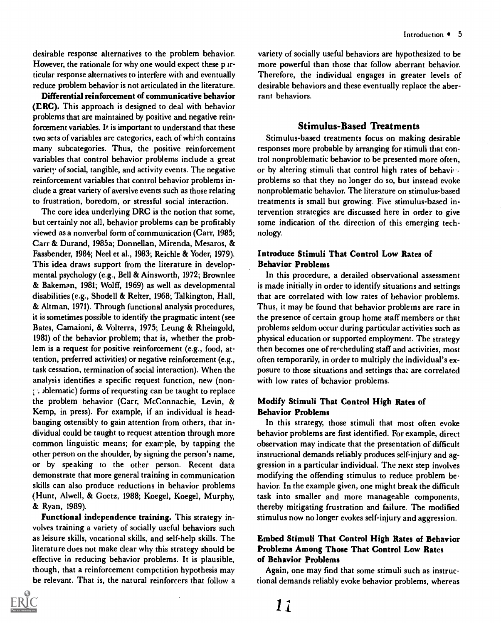desirable response alternatives to the problem behavior. However, the rationale for why one would expect these  $p \text{ if } f \text{ is a constant}$ ticular response alternatives to interfere with and eventually reduce problem behavior is not articulated in the literature.

Differential reinforcement of communicative behavior (ERC). This approach is designed to deal with behavior problems that are maintained by positive and negative reinforcement variables. It is important to understand that these two sets of variables are categories, each of which contains many subcategories. Thus, the positive reinforcement variables that control behavior problems include a great variety of social, tangible, and activity events. The negative reinforcement variables that control behavior problems include a great variety of aversive events such as those relating to frustration, boredom, or stressful social interaction.

The core idea underlying DRC is the notion that some, but certainly not all, behavior problems can be profitably viewed as a nonverbal form of communication (Carr, 1985; Carr & Durand, 1985a; Donnellan, Mirenda, Mesaros, & Fassbender, 1984; Neel et al., 1983; Reichle & Yoder, 1979). This idea draws support from the literature in developmental psychology (e.g., Bell & Ainsworth, 1972; Brownlee & Bakeman, 1981; Wolff, 1969) as well as developmental disabilities (e.g., Shodell & Reiter, 1968; Talkington, Hall, & Altman, 1971). Through functional analysis procedures, it is sometimes possible to identify the pragmatic intent (see Bates, Camaioni, & Volterra, 1975; Leung & Rheingold, 1981) of the behavior problem; that is, whether the problem is a request for positive reinforcement (e.g., food, attention, preferred activities) or negative reinforcement (e.g., task cessation, termination of social interaction). When the analysis identifies a specific request function, new (non-  $\gamma$ . blematic) forms of requesting can be taught to replace the problem behavior (Carr, McConnachie, Levin, & Kemp, in press). For example, if an individual is headbanging ostensibly to gain attention from others, that individual could be taught to request attention through more common linguistic means; for example, by tapping the other person on the shoulder, by signing the person's name, or by speaking to the other person. Recent data demonstrate that more general training in communication skills can also produce reductions in behavior problems (Hunt, Alwell, & Goetz, 1988; Koegel, Koegel, Murphy, & Ryan, 1989).

Functional independence training. This strategy involves training a variety of socially useful behaviors such as leisure skills, vocational skills, and self-help skills. The literature does not make clear why this strategy should be effective in reducing behavior problems. It is plausible, though, that a reinforcement competition hypothesis may be relevant. That is, the natural reinforcers that follow a



variety of socially useful behaviors are hypothesized to be more powerful than those that follow aberrant behavior. Therefore, the individual engages in greater levels of desirable behaviors and these eventually replace the aberrant behaviors.

#### Stimulus-Based Treatments

Stimulus-based treatments focus on making desirable responses more probable by arranging for stimuli that control nonproblematic behavior to be presented more often, or by altering stimuli that control high rates of behaving problems so that they no longer do so, but instead evoke nonproblematic behavior. The literature on stimulus-based treatments is small but growing. Five stimulus-based intervention strategies are discussed here in order to give some indication of the direction of this emerging technology.

#### Introduce Stimuli That Control Low Rates of Behavior Problems

In this procedure, a detailed observational assessment is made initially in order to identify situations and settings that are correlated with low rates of behavior problems. Thus, it may be found that behavior problems are rare in the presence of certain group home staff members or that problems seldom occur during particular activities such as physical education or supported employment. The strategy then becomes one of re-cheduling staff and activities, most often temporarily, in order to multiply the individual's exposure to those situations and settings that are correlated with low rates of behavior problems.

# Modify Stimuli That Control High Rates of Behavior Problems

In this strategy, those stimuli that most often evoke behavior problems are fitst identified. For example, direct observation may indicate that the presentation of difficult instructional demands reliably produces self-injury and aggression in a particular individual. The next step involves modifying the offending stimulus to reduce problem behavior. In the example given, one might break the difficult task into smaller and more manageable components, thereby mitigating frustration and failure. The modified stimulus now no longer evokes self-injury and aggression.

### Embed Stimuli That Control High Rates of Behavior Problems Among Those That Control Low Rates of Behavior Problems

Again, one may find that some stimuli such as instructional demands reliably evoke behavior problems, whereas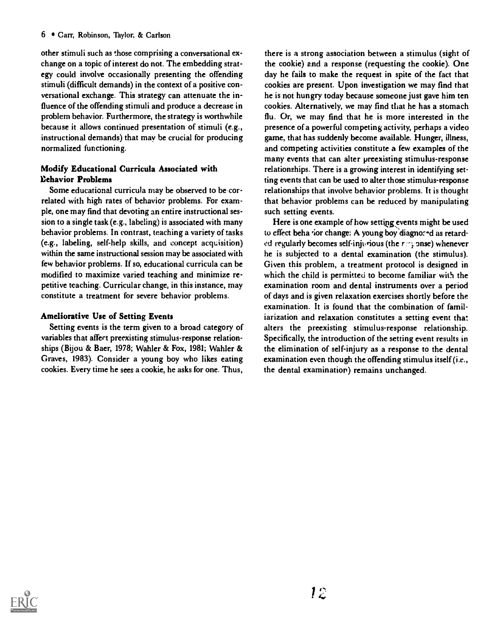other stimuli such as those comprising a conversational exchange on a topic of interest do not. The embedding strategy could involve occasionally presenting the offending stimuli (difficult demands) in the context of a positive conversational exchange. This strategy can attenuate the influence of the offending stimuli and produce a decrease in problem behavior. Furthermore, the strategy is worthwhile because it allows continued presentation of stimuli (e.g., instructional demands) that may be crucial for producing normalized functioning.

# Modify Educational Curricula Associated with Behavior Problems

Some educational curricula may be observed to be correlated with high rates of behavior problems. For example, one may find that devoting an entire instructional session to a single task (e.g., labeling) is associated with many behavior problems. In contrast, teaching a variety of tasks (e.g., labeling, self-help skills, and concept acquisition) within the same instructional session may be associated with few behavior problems. If so, educational curricula can be modified to maximize varied teaching and minimize repetitive teaching. Curricular change, in this instance, may constitute a treatment for severe behavior problems.

# Ameliorative Use of Setting Events

Setting events is the term given to a broad category of variables that affect preexisting stimulus-response relationships (Bijou & Baer, 1978; Wahler & Fox, 1981; Wahler & Graves, 1983). Consider a young boy who likes eating cookies. Every time he sees a cookie, he asks for one. Thus,

there is a strong association between a stimulus (sight of the cookie) amd a response (requesting the cookie). One day he fails to make the request in spite of the fact that cookies are present. Upon investigation we may find that he is not hungry today because someone just gave him ten cookies. Alternatively, we may find that he has a stomach flu. Or, we may find that he is more interested in the presence of a powerful competing activity, perhaps a video game, that has suddenly become available. Hunger, illness, and competing activities constitute a few examples of the many events that can alter preexisting stimulus-response relationships. There is a growing interest in identifying setting events that can be used to alter those stimulus-response relationships that involve behavior problems. It is thought that behavior problems can be reduced by manipulating such setting events.

Here is one example of how setting events might be used to effect beha tior change: A young boy diagno: - d as retarded regularly becomes self-injurious (the  $r \in \mathcal{S}$  onse) whenever he is subjected to a dental examination (the stimulus). Given this problem, a treatment protocol is designed in which the child is permitted to become familiar with the examination room and dental instruments over a period of days and is given relaxation exercises shortly before the examination. It is found that the combination of familiarization and relaxation constitutes a setting event that alters the preexisting stimulus-response relationship. Specifically, the introduction of the setting event results in the elimination of self-injury as a response to the dental examination even though the offending stimulus itself (i.e., the dental examination) remains unchanged.

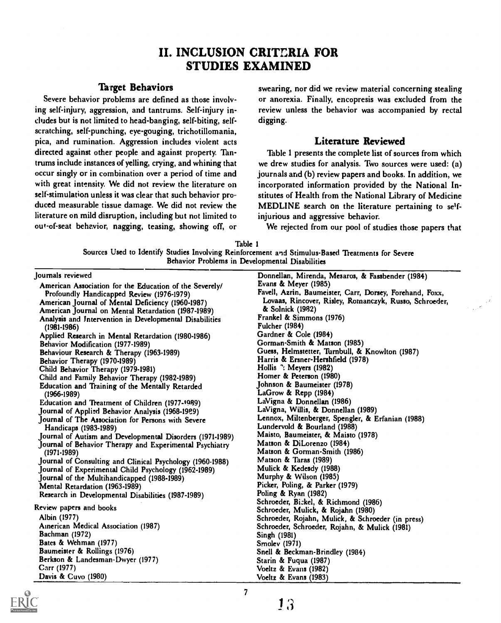# II. INCLUSION CRITT.RIA FOR STUDIES EXAMINED

### Target Behaviors

Severe behavior problems are defined as those involving self-injury, aggression, and tantrums. Self-injury includes but is not limited to head-banging, self-biting, selfscratching, self-punching, eye-gouging, trichotillomania, pica, and rumination. Aggression includes violent acts directed against other people and against property. Tantrums include instances of yelling, crying, and whining that occur singly or in combination over a period of time and with great intensity. We did not review the literature on self-stimulation unless it was clear that such behavior produced measurable tissue damage. We did not review the literature on mild disruption, including but not limited to out-of-seat behavior, nagging, teasing, showing off, or swearing, nor did we review material concerning stealing or anorexia. Finally, encopresis was excluded from the review unless the behavior was accompanied by rectal digging.

#### Literature Reviewed

Table 1 presents the complete list of sources from which we drew studies for analysis. Two sources were used: (a) journals arid (b) review papers and books. In addition, we incorporated information provided by the National Institutes of Health from the National Library of Medicine MEDLINE search on the literature pertaining to selfinjurious and aggressive behavior.

We rejected from our pool of studies those papers that

|  | Table :                                                                                           |  |
|--|---------------------------------------------------------------------------------------------------|--|
|  | Sources Used to Identify Studies Involving Reinforcement and Stimulus-Based Treatments for Severe |  |
|  | Behavior Problems in Developmental Disabilities                                                   |  |

| Journals reviewed                                         | Donnellan, Mirenda, Mesaros, & Fassbender (1984)         |
|-----------------------------------------------------------|----------------------------------------------------------|
| American Association for the Education of the Severely/   | Evans & Meyer (1985)                                     |
| Profoundly Handicapped Review (1976-1979)                 | Favell, Azrin, Baumeister, Carr, Dorsey, Forehand, Foxx, |
| American Journal of Mental Deficiency (1960-1987)         | Lovaas, Rincover, Risley, Romanczyk, Russo, Schroeder,   |
| American Journal on Mental Retardation (1987-1989)        | & Solnick (1982)                                         |
| Analysis and Intervention in Developmental Disabilities   | Frankel & Simmons (1976)                                 |
| $(1981 - 1986)$                                           | <b>Fulcher (1984)</b>                                    |
| Applied Research in Mental Retardation (1980-1986)        | Gardner & Cole (1984)                                    |
| Behavior Modification (1977-1989)                         | Gorman-Smith & Matson (1985)                             |
| Behaviour Research & Therapy (1963-1989)                  | Guess, Helmstetter, Turnbull, & Knowlton (1987)          |
| Behavior Therapy (1970-1989)                              | Harris & Ersner-Hershfield (1978)                        |
| Child Behavior Therapy (1979-1981)                        | Hollis <sup>7</sup> : Meyers (1982)                      |
| Child and Family Behavior Therapy (1982-1989)             | Homer & Peterson (1980)                                  |
| <b>Education and Training of the Mentally Retarded</b>    | Johnson & Baumeister (1978)                              |
| $(1966 - 1989)$                                           | LaGrow & Repp (1984)                                     |
| Education and Treatment of Children (1977-1989)           | LaVigna & Donnellan (1986)                               |
| Journal of Applied Behavior Analysis (1968-1989)          | LaVigna, Willis, & Donnellan (1989)                      |
| Journal of The Association for Persons with Severe        | Lennox, Miltenberger, Spengler, & Erfanian (1988)        |
| Handicaps (1983-1989)                                     | Lundervold & Bourland (1988)                             |
| Journal of Autism and Developmental Disorders (1971-1989) | Maisto, Baumeister, & Maisto (1978)                      |
| Journal of Behavior Therapy and Experimental Psychiatry   | Matson & DiLorenzo (1984)                                |
| $(1971-1989)$                                             | Matson & Gorman-Smith (1986)                             |
| Journal of Consulting and Clinical Psychology (1960-1988) | Matson & Taras (1989)                                    |
| Journal of Experimental Child Psychology (1962-1989)      | Mulick & Kedesdy (1988)                                  |
| Journal of the Multihandicapped (1988-1989)               | Murphy & Wilson (1985)                                   |
| Mental Retardation (1963-1989)                            | Picker, Poling, & Parker (1979)                          |
| Research in Developmental Disabilities (1987-1989)        | Poling & Ryan (1982)                                     |
|                                                           | Schroeder, Bickel, & Richmond (1986)                     |
| Review papers and books                                   | Schroeder, Mulick, & Rojahn (1980)                       |
| Albin (1977)                                              | Schroeder, Rojahn, Mulick, & Schroeder (in press)        |
| Ainerican Medical Association (1987)                      | Schroeder, Schroeder, Rojahn, & Mulick (1981)            |
| <b>Bachman</b> (1972)                                     | Singh (1981)                                             |
| Bates & Wehman (1977)                                     | Smolev (1971)                                            |
| Baumeister & Rollings (1976)                              | Snell & Beckman-Brindley (1984)                          |
| Berkson & Landesman-Dwyer (1977)                          | Starin & Fuqua (1987)                                    |
| Carr (1977)                                               | Voeltz & Evans (1982)                                    |
| Davis & Cuvo (1980)                                       | Voeltz & Evans (1983)                                    |



7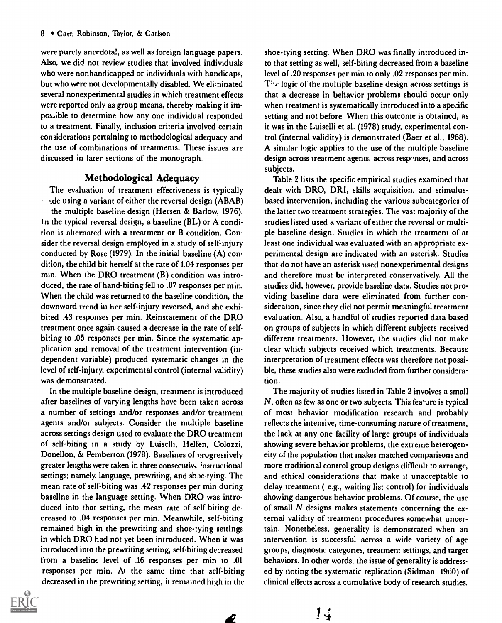were purely anecdotal, as well as foreign language papers. Also, we did not review studies that involved individuals who were nonhandicapped or individuals with handicaps, but who were not developmentally disabled. We eliminated several nonexperimental studies in which treatment effects were reported only as group means, thereby making it impos.,ible to determine how any one individual responded to a treatment. Finally, inclusion criteria involved certain considerations pertaining to methodological adequacy and the use of cotnbinations of treatments. These issues are discussed in later sections of the monograph.

# Methodological Adequacy

The evaluation of treatment effectiveness is typically ade using a variant of either the reversal design (ABAB) the multiple baseline design (Hersen & Barlow, 1976). ln the typical reversal design, a baseline (BL) or A condition is alternated with a treatment or B condition. Consider the reversal design employed in a study of self-injury conducted by Rose (1979). In the initial baseline (A) condition, the child bit herself at the rate of 1.04 responses per min. When the DRO treatment (B) condition was introduced, the rate of hand-biting fell to .07 responses per min. When the child was returned to the baseline condition, the downward trend in her self-injury reversed, and she exhibited .43 responses per min. Reinstatement of the DRO treatment once again caused a decrease in the rate of selfbiting to .05 responses per min. Since the systematic application and removal of the treatment intervention (independent variable) produced systematic changes in the level of self-injury, experimental control (internal validity) was demonstrated.

In the multiple baseline design, treatment is introduced after baselines of varying lengths have been taken across a number of settings and/or responses and/or treatment agents and/or subjects. Consider the multiple baseline across settings design used to evaluate the DRO treatment of self-biting in a study by Luiselli, Helfen, Colozzi, Donellon, & Pemberton (1978). Baselines of nrogressively greater lengths were taken in three consecutive instructional settings; namely, language, prewriting, and shoe-tying. The mean rate of self-biting was .42 responses per min during baseline in the language setting. When DRO was introduced into that setting, the mean rate of self-biting decreased to .04 responses per min. Meanwhile, self-biting remained high in the prewriting and shoe-tying settings in which DRO had not yet been introduced. When it was introduced into the prewriting setting, self-biting decreased from a baseline level of .16 responses per min to .01 responses per min. At the same time that self-biting decreased in the prewriting setting, it remained high in the



shoe-tying setting. When DRO was finally introduced into that setting as well, self-biting decreased from a baseline level of .20 responses per min to only .02 responses per min.  $T^{\mu}$  logic of the multiple baseline design across settings is that a decrease in behavior problems should occur only when treatment is systematically introduced into a specific setting and not before. When this outcome is obtained, as it was in the Luiselli et al. (1978) study, experimental control (internal validity) is demonstrated (Baer et al., 1968). A similar lngic applies to the use of the multiple baseline design across treatment agents, across responses, and across subjects.

Table 2 lists the specific empirical studies examined that dealt with DRO, DRI, skills acquisition, and stimulusbased intervention, including the various subcategories of the latter two treatment strategies. The vast majority of the studies listed used a variant of either the reversal or multiple baseline design. Studies in which the treatment of at least one individual was evaluated with an appropriate experimental design are indicated with an asterisk. Studies that do not have an asterisk used nonexperimental designs and therefore must be interpreted conservatively. All the studies did, however, provide baseline data. Studies not providing baseline data were eliminated from further consideration, since they did not permit meaningful treatment evaluation. Also, a handful of studies reported data based on groups of subjects in which different subjects received different treatments. However, the studies did not make clear which subjects received which treatments. Because interpretation of treatment effects was therefore not possible, these studies also were excluded from further consideration.

The majority of studies listed in Table 2 involves a small N, often as few as one or two subjects. This fea'ure is typical of most behavior modification research and probably reflects the intensive, time-consuming nature of treatment, the lack at any one facility of large groups of individuals showing severe behavior problems, the extreme heterogeneity of the population that makes matched comparisons and more traditional control group designs difficult to arrange, and ethical considerations that make it unacceptable to delay treatment ( e.g., waiting list control) for individuals showing dangerous behavior problems. Of course, the use of small  $N$  designs makes statements concerning the external validity of treatment procedures somewhat uncertain. Nonetheless, generality is demonstrated when an intervention is successful across a wide variety of age groups, diagnostic categories, treatment settings, and target behaviors. In other words, the issue of generality is addressed by noting the systematic replication (Sidman, 1960) of clinical effects across a cumulative body of research studies.

Ł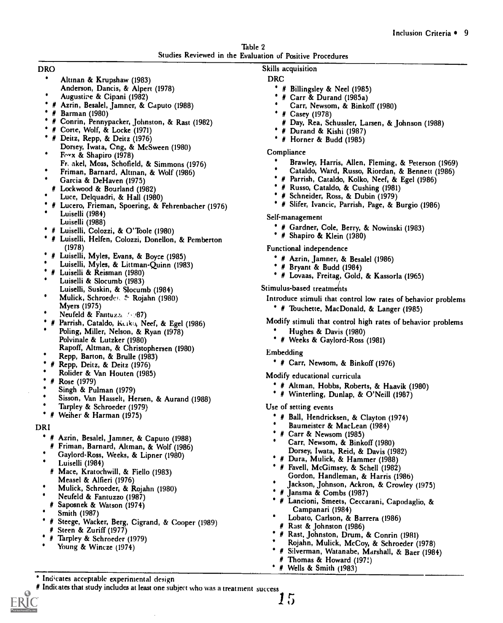|                                                           | Table 2 |  |
|-----------------------------------------------------------|---------|--|
| Studies Reviewed in the Evaluation of Positive Procedures |         |  |

#### DRO

- Altman & Krupshaw (1983)
- Anderson, Dancis, & Alpert (1978) Augustire & Cipani (1982)
- # Azrin, Besalel, Jamner, & Caputo (1988)
- # Barman (1980)
- # Conrin, Pennypacker, Johnston, & Rast (1982)
- # Corte, Wolf, & Locke (1971)
- # Deitz, Repp, & Deitz (1976) Dorsey, Iwata, Cng, & McSween (1980)
- Fryx & Shapiro (1978) Fr, akel, Moss, Schofield, & Simmons (1976)
- Friman, Barnard, Altman, & Wolf (1986)
- Garcia & DeHaven (1975)
- # Lockwood & Bourland (1982)
- Luce, Delquadri, & Hall (1980)
- # Lucero, Frieman, Spoering, & Fehrenbacher (1976) Luiselli (1984)
	- Luiselli (1988)
- # Luiselli, Colozzi, & O'Toole (1980)
- # Luiselli, Helfen, Colozzi, Donellon, & Pemberton (1978)
- # Luiselli, Myles, Evans, & Boyce (1985)
- Luiselli, Myles, & Littman-Quinn (1983)
- # Luiselli & Reisman (1980)
- Luiselli & Slocumb (1983) Luiselli, Suskin, & Slocumb (1984)
- Mulick, Schroeder, & Rojahn (1980)
- Myers (1975)
- Neufeld & Fantuzzi (487)
- # Parrish, Cataldo, Keika, Neef, & Egel (1986) Poling, Miller, Nelson, & Ryan (1978) Polvinale & Lutzker (1980)
- Rapoff, Altman, & Christophersen (1980)
- Repp, Barton, & Brulle (1983)
- # Repp, Deitz, & Deitz (1976) Rolider & Van Houten (1985)
- $\bullet$
- # Rose (1979)
- Singh & Pulman (1979)
- Sisson, Van Hassell, Hersen, & Aurand (1988)
- Tarpley & Schroeder (1979)
- Weiher & Harman (1975)

#### DRI

- <sup>\*</sup> # Azrin, Besalel, Jamner, & Caputo (1988)
- Friman, Barnard, Altman, & Wolf (1986)
- Gaylord-Ross, Weeks, & Lipner (1980)
- Luiselli (1984)
- # Mace, Kratochwill, & Fiello (1983)
- Measel & Alfieri (1976)
- Mulick, Schroeder, & Rojahn (1980)

Indicates acceptable experimental design

- Neufeld & Fantuzzo (1987)
- # Saposnek & Watson (1974)
- Smith (1987)
- # Steege, Wacker, Berg, Cigrand, & Cooper (1989) # Steen & Zuriff (1977)

Indicates that study includes at least one subject who was a treatment success  $\int$ 

- # Tarpley & Schroeder (1979)
- Young & Wincze (1974)

# Skills acquisition

#### DRC

- # Billingsley & Neel (1985)
- # Carr & Durand (1985a)
- Carr, Newsom, & Binkoff (1980)
- # Casey (1978)
- # Day, Rea, Schussler, Larsen, & Johnson (1988)
- # Durand & Kishi (1987)
- # Horner & Budd (1985)

#### Compliance

- Brawley, Harris, Allen, Fleming, & Peterson (1969)
- Cataldo, Ward, Russo, Riordan, & Bennett (1986)
- # Parrish, Cataldo, Kolko, Neef, & Egel (1986)
- # Russo, Cataldo, & Cushing (1981)
- # Schneider, Ross, & Dubin (1979)
- # Slifer, Ivancic, Parrish, Page, & Burgio (1986)

#### Self-management

- # Gardner, Cole, Berry, & Nowinski (1983)
- # Shapiro & Klein (1980)

#### Functional independence

- # Azrin, Jamner, & Besalel (1986)
- # Bryant & Budd (1984)
- # Lovaas, Freitag, Gold, & Kassorla (1965)

#### Stimulus-based treatments

Introduce stimuli that control low rates of behavior problems # Touchette, MacDonald, & Langer (1985)

- Modify stimuli that control high rates of behavior problems
	- Hughes & Davis (1980)
	- # Weeks & Gaylord-Ross (1981)

#### Embedding

# Carr, Newsom, & Binkoff (1976)

Modify educational curricula

- # Altman, Hobbs, Roberts, & Haavik (1980)
- # Winterling, Dunlap, & O'Neill (1987)

Use of setting events

- # Ball, Hendricksen, & Clayton (1974)
- Baumeister & MacLean (1984)
- # Carr & Newsom (1985)
- Carr, Newsom, & Binkoff (1980) Dorsey, Iwata, Reid, & Davis (1982)
- # Dura, Mulick, & Hammer (1988)
- Favell, McGimsey, & Schell (1982) Gordon, Handleman, & Harris (1986)
- Jackson, Johnson, Ackron, & Crowley (1975)
- # Jansma & Combs (1987)
- # Lancioni, Smeets, Ceccarani, Capodaglio, & Campanari (1984)
- Lobato, Carlson, & Barrera (1986)
- # Rast & Johnston (1986)
- # Rast, Johnston, Drum, & Conrin (1981)
- Rojahn, Mulick, McCoy, & Schroeder (1978)
- Silverman, Watanabe, Marshall, & Baer (1984)
- Thomas & Howard  $(197!)$
- # Wells & Smith (1983)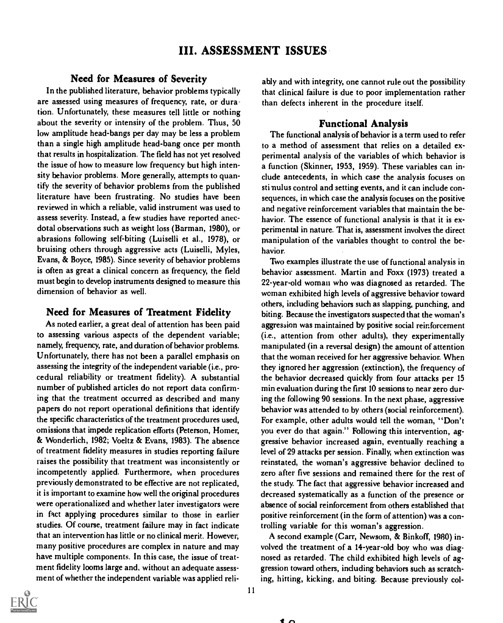# Need for Measures of Severity

In the published literature, behavior problems typically are assessed using measures of frequency, rate, or duration. Unfortunately, these measures tell little or nothing about the severity or intensity of the problem. Thus, 50 low amplitude head-bangs per day may be less a problem than a single high amplitude head-bang once per month that results in hospitalization. The field has not yet resolved the issue of how to measure low frequency but high intensity behavior problems. More generally, attempts to quantify the severity of behavior problems from the published literature have been frustrating. No studies have been reviewed in which a reliable, valid instrument was used to assess severity. Instead, a few studies have reported anecdotal observations such as weight loss (Barman, 1980), or abrasions following self-biting (Luiselli et al., 1978), or bruising others through aggressive acts (Luiselli, Myles, Evans, & Boyce, 1985). Since severity of behavior problems is often as great a clinical concern as frequency, the field must begin to develop instruments designed to measure this dimension of behavior as well.

# Need for Measures of Treatment Fidelity

As noted earlier, a great deal of attention has been paid to assessing various aspects of the dependent variable; namely, frequency, rate, and duration of behavior problems. Unfortunately, there has not been a parallel emphasis on assessing the integrity of the independent variable (i.e., procedural reliability or treatment fidelity). A substantial number of published articles do not report data confirming that the treatment occurred as described and many papers do not report operational definitions that identify the specific characteristics of the treatment procedures used, omissions that impede replication efforts (Peterson, Homer, & Wonderlich, 1982; Voeltz & Evans, 1983). The absence of treatment fidelity measures in studies reporting failure raises the possibility that treatment was inconsistently or incompetently applied. Furthermore, when procedures previously demonstrated to be effective are not replicated, it is important to examine how well the original procedures were operationalized and whether later investigators were in fact applying procedures similar to those in earlier studies. Of course, treatment failure may in fact indicate that an intervention has little or no clinical merit. However, many positive procedures are complex in nature and may have multiple components. In this case, the issue of treatment fidelity looms large and, without an adequate assessment of whether the independent variable was applied reliably and with integrity, one cannot rule out the possibility that clinical failure is due to poor implementation rather than defects inherent in the procedure itself.

# Functional Analysis

The functional analysis of behavior is a term used to refer to a method of assessment that relies on a detailed experimental analysis of the variables of which behavior is a function (Skinner, 1953, 1959). These variables can include antecedents, in which case the analysis focuses on sti nulus control and setting events, and it can include consequences, in which case the analysis focuses on the positive and negative reinforcement variables that maintain the behavior. The essence of functional analysis is that it is experimental in nature. That is, assessment involves the direct manipulation of the variables thought to control the behavior.

Two examples illustrate the use of functional analysis in behavior assessment. Martin and Foxx (1973) treated a 22-year-old woman who was diagnosed as retarded. The woman exhibited high levels of aggressive behavior toward others, including behaviors such as slapping, punching, and biting. Because the investigators suspected that the woman's aggression was maintained by positive social reinforcement (i.e., attention from other adults), they experimentally manipulated (in a reversal design) the amount of attention that the woman received for her aggressive behavior. When they ignored her aggression (extinction), the frequency of the behavior decreased quickly from four attacks per 15 min evaluation during the first 10 sessions to near zero during the following 90 sessions. In the next phase, aggressive behavior was attended to by others (social reinforcement). For example, other adults would tell the woman, "Don't you ever do that again." Following this intervention, aggressive behavior increased again, eventually reaching a level of 29 attacks per session. Finally, when extinction was reinstated, the woman's aggressive behavior declined to zero after five sessions and remained there for the rest of the study. The fact that aggressive behavior increased and decreased systematically as a function of the presence or absence of social reinforcement from others established that positive reinforcement (in the form of attention) was a controlling variable for this woman's aggression.

A second example (Carr, Newsom, & Binkoff, 1980) involved the treatment of a 14-year-old boy who was diagnosed as retarded. The child exhibited high levels of aggression toward others, including behaviors such as scratching, hitting, kicking, and biting. Because previously col

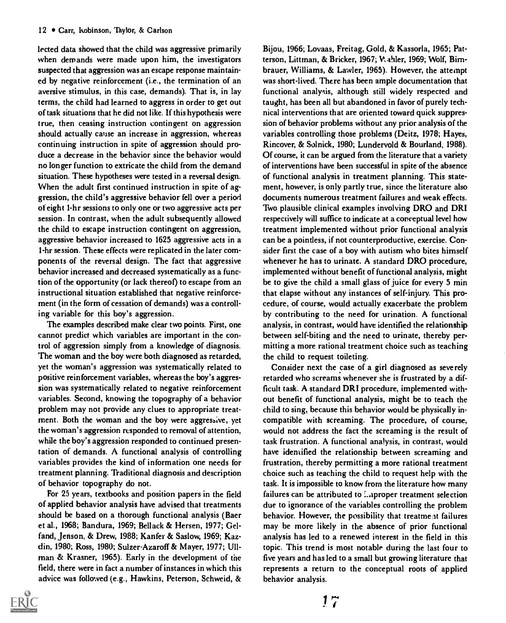lected data showed that the child was aggressive primarily when demands were made upon him, the investigators suspected that aggression was an escape response maintained by negative reinforcement (i.e., the termination of an aversive stimulus, in this case, demands). That is, in lay terms, the child had learned to aggress in order to get out of task situations that he did not like. If this hypothesis were true, then ceasing instruction contingent on aggression should actually cause an increase in aggression, whereas continuing instruction in spite of aggression should produce a decrease in the behavior since the behavior would no longer function to extricate the child from the demand situation. These hypotheses were tested in a reversal design. When the adult first continued instruction in spite of aggression, the child's aggressive behavior fell over a period of eight 1-hr sessions to only one or two aggressive acts per session. In contrast, when the adult subsequently allowed the child to escape instruction contingent on aggression, aggressive behavior increased to 1625 aggressive acts in a 1-hr session. These effects were replicated in the later components of the reversal design. The fact that aggressive behavior increased and decreased systematically as a function of the opportunity (or lack thereof) to escape from an instructional situation established that negative reinforcement (in the form of cessation of demands) was a controlling variable for this boy's aggression.

The examples described make clear two points. First, one cannot predict which variables are important in the control of aggression simply from a knowledge of diagnosis. The woman and the boy were both diagnosed as retarded, yet the woman's aggression was systematically related to positive reinforcement variables, whereas the boy's aggression was systematically related to negative reinforcement variables. Second, knowing the topography of a behavior problem may not provide any clues to appropriate treatment. Both the woman and the boy were aggressive, yet the woman's aggression responded to removal of attention, while the boy's aggression responded to continued presentation of demands. A functional analysis of controlling variables provides the kind of information one needs for treatment planning. Traditional diagnosis and description of behavior topography do not.

For 25 years, textbooks and position papers in the field of applied behavior analysis have advised that treatments should be based on a thorough functional analysis (Baer et al., 1968; Bandura, 1969; Bellack & Hersen, 1977; Gelfand, Jenson, & Drew, 1988; Kanfer & Saslow, 1969; Kazdin, 1980; Ross, 1980; Sulzer-Azaroff & Mayer, 1977; Ullman & Krasner, 1965). Early in the development of the field, there were in fact a number of instances in which this advice was followed (e.g., Hawkins, Peterson, Schweid, &



Bijou, 1966; Lovaas, Freitag, Gold, & Kassorla, 1965; Patterson, Littman, & Bricker, 1967; V, ahler, 1969; Wolf, Birnbrauer, Williams, & Lawler, 1965). However, the attempt was short-lived. There has been ample documentation that functional analysis, although still widely respected and taught, has been all but abandoned in favor of purely technical interventions that are oriented toward quick suppression of behavior problems without any prior analysis of the variables controlling those problems (Deitz, 1978; Hayes, Rincover, & Solnick, 1980; Lundervold & Bourland, 1988). Of course, it can be argued from the literature that a variety of interventions have been successful in spite of the absence of functional analysis in treatment planning. This statement, however, is only partly true, since the literature also documents numerous treatment failures and weak effects. Two plausible clinical examples involving DRO and DRI respectively will suffice to indicate at a conceptual level how treatment implemented without prior functional analysis can be a pointless, if not counterproductive, exercise. Consider first the case of a boy with autism who bites himself whenever he has to urinate. A standard DRO procedure, implemented without benefit of functional analysis, might be to give the child a small glass of juice for every 5 min that elapse without any instances of self-injury. This procedure, of course, would actually exacerbate the problem by contributing to the need for urination. A functional analysis, in contrast, would have identified the relationship between self-biting and the need to urinate, thereby permitting a more rational treatment choice such as teaching the child to request toileting.

Consider next the case of a girl diagnosed as severely retarded who screams whenever she is frustrated by a difficult task. A standard DRI procedure, implemented without benefit of functional analysis, might be to teach the child to sing, because this behavior would be physically incompatible with screaming. The procedure, of course, would not address the fact the screaming is the result of task frustration. A functional analysis, in contrast, would have identified the relationship between screaming and frustration, thereby permitting a more rational treatment choice such as teaching the child to request help with the task. It is impossible to know from the literature how many failures can be attributed to :..tproper treatment selection due to ignorance of the variables controlling the problem behavior. However, the possibility that treatme at failures may be more likely in the absence of prior functional analysis has led to a renewed interest in the field in this topic. This trend is most notable during the last four to five years and has led to a small but growing literature that represents a return to the conceptual roots of applied behavior analysis.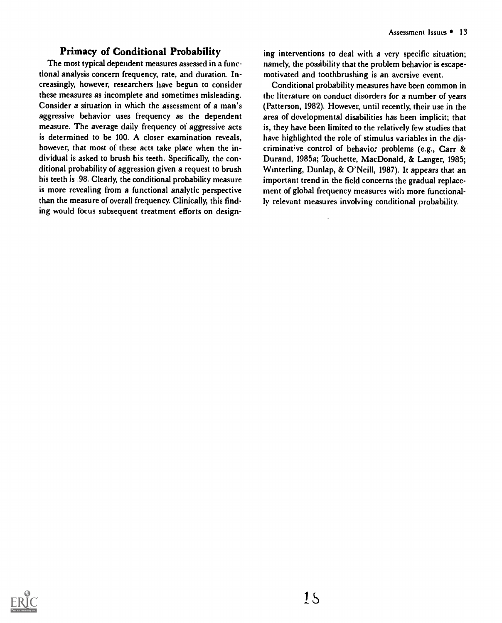# Primacy of Conditional Probability

The most typical dependent measures assessed in a functional analysis concern frequency, rate, and duration. Increasingly, however, researchers have begun to consider these measures as incomplete and sometimes misleading. Consider a situation in which the assessment of a man's aggressive behavior uses frequency as the dependent measure. The average daily frequency of aggressive acts is determined to be 100. A closer examination reveals, however, that most of these acts take place when the individual is asked to brush his teeth. Specifically, the conditional probability of aggression given a request to brush his teeth is .98. Clearly, the conditional probability measure is more revealing from a functional analytic perspective than the measure of overall frequency. Clinically, this finding would focus subsequent treatment efforts on designing interventions to deal with a very specific situation; namely, the possibility that the problem behavior is escapemotivated and toothbrushing is an aversive event.

Conditional probability measures have been common in the literature on conduct disorders for a number of years (Patterson, 1982). However, until recently, their use in the area of developmental disabilities has been implicit; that is, they have been limited to the relatively few studies that have highlighted the role of stimulus variables in the discriminative control of behavio: problems (e.g., Carr & Durand, 1985a; Touchette, MacDonald, & Langer, 1985; Winterling, Dunlap, & O'Neill, 1987). It appears that an important trend in the field concerns the gradual replacement of global frequency measures with more functionally relevant measures involving conditional probability.

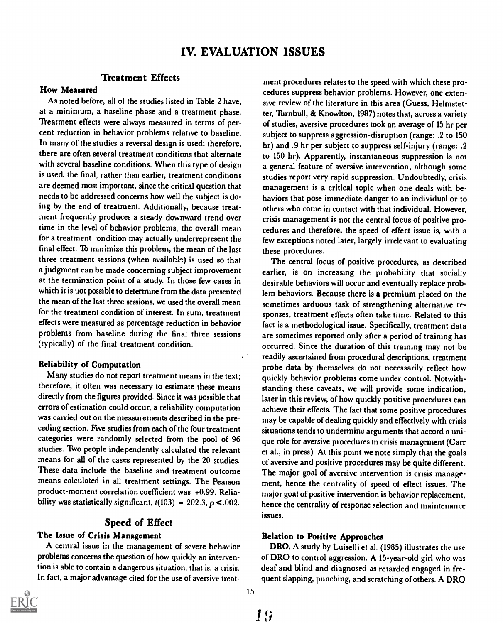# IV. EVALUATION ISSUES

### Treatment Effects

#### How Measured

As noted before, all of the studies listed in Table 2 have, at a minimum, a baseline phase and a treatment phase. Treatment effects were always measured in terms of percent reduction in behavior problems relative to baseline. In many of the studies a reversal design is used; therefore, there are often several treatment conditions that alternate with several baseline conditions. When this type of design is used, the final, rather than earlier, treatment conditions are deemed most important, since the critical question that needs to be addressed concerns how well the subject is doing by the end of treatment. Additionally, because treatment frequently produces a steady downward trend over time in the level of behavior problems, the overall mean for a treatment ondition may actually underrepresent the final effect. To minimize this problem, the mean of the last three treatment sessions (when available) is used so that a judgment can be made concerning subject improvement at the termination point of a study. In those few cases in which it is not possible to determine from the data presented the mean of the last three sessions, we used the overall mean for the treatment condition of interest. In sum, treatment effects were measured as percentage reduction in behavior problems from baseline during the final three sessions (typically) of the final treatment condition.

#### Reliability of Computation

Many studies do not report treatment means in the text; therefore, it often was necessary to estimate these means directly from the figures provided. Since it was possible that errors of estimation could occur, a reliability computation was carried out on the measurements described in the preceding section. Five studies from each of the four treatment categories were randomly selected from the pool of 96 studies. Two people independently calculated the relevant means for all of the cases represented by the 20 studies. These data include the baseline and treatment outcome means calculated in all treatment settings. The Pearson product-moment correlation coefficient was +0.99. Reliability was statistically significant,  $t(103) = 202.3$ ,  $p < .002$ .

### Speed of Effect

#### The Issue of Crisis Management

A central issue in the management of severe behavior problems concerns the question of how quickly an intervention is able to contain a dangerous situation, that is, a crisis. In fact, a major advantage cited for the use of aversive treat-



ment procedures relates to the speed with which these procedures suppress behavior problems. However, one extensive review of the literature in this area (Guess, Helmstetter, Turnbull, & Knowlton, 1987) notes that, across a variety of studies, aversive procedures took an average of 15 hr per subject to suppress aggression-disruption (range: .2 to 150 hr) and .9 hr per subject to suppress self-injury (range: .2 to 150 hr). Apparently, instantaneous suppression is not a general feature of aversive intervention, although some studies report very rapid suppression. Undoubtedly, crisis management is a critical topic when one deals with behaviors that pose immediate danger to an individual or to others who come in contact with that individual. However, crisis management is not the central focus of positive procedures and therefore, the speed of effect issue is, with a few exceptions noted later, largely irrelevant to evaluating these procedures.

The central focus of positive procedures, as described earlier, is on increasing the probability that socially desirable behaviors will occur and eventually replace problem behaviors. Because there is a premium placed on the scmetimes arduous task of strengthening alternative responses, treatment effects often take time. Related to this fact is a methodological issue. Specifically, treatment data are sometimes reported only after a period of training has occurred. Since the duration of this training may not be readily ascertained from procedural descriptions, treatment probe data by themselves do not necessarily reflect how quickly behavior problems come under control. Notwithstanding these caveats, we will provide some indication, later in this review, of how quickly positive procedures can achieve their effects. The fact that some positive procedures may be capable of dealing quickly and effectively with crisis situations tends to undermine arguments that accord a unique role for aversive procedures in crisis management (Carr et al., in press). At this point we note simply that the goals of aversive and positive procedures may be quite different. The major goal of aversive intervention is crisis management, hence the centrality of speed of effect issues. The major goal of positive intervention is behavior replacement, hence the centrality of response selection and maintenance issues.

#### Relation to Positive Approaches

DRO. A study by Luiselli et al. (1985) illustrates the use of DRO to control aggression. A 15-year-old girl who was deaf and blind and diagnosed as retarded engaged in frequent slapping, punching, and scratching of others. A DRO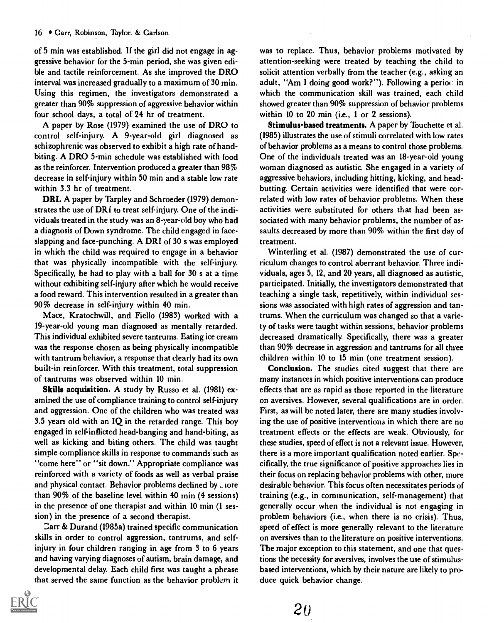of 5 min was established. If the girl did not engage in aggressive behavior for the 5-min period, she was given edible and tactile reinforcement. As she improved the DRO interval was increased gradually to a maximum of 30 min. Using this regimen, the investigators demonstrated a greater than 90% suppression of aggressive behavior within four school days, a total of 24 hr of treatment.

A paper by Rose (1979) examined the use of DRO to control self-injury. A 9-year-old girl diagnosed as schizophrenic was observed to exhibit a high rate of handbiting. A DRO 5-min schedule was established with food as the reinforcer. Intervention produced a greater than 98% decrease in self-injury within 50 min and a stable low rate within 3.3 hr of treatment.

DRI. A paper by Tarpley and Schroeder (1979) demonstrates the use of DRI to treat self-injury. One of the individuals treated in the study was an 8-year-old boy who had a diagnosis of Down syndrome. The child engaged in faceslapping and face-punching. A DRI of 30 s was employed in which the child was required to engage in a behavior that was physically incompatible with the self-injury. Specifically, he had to play with a ball for 30 s at a time without exhibiting self-injury after which he would receive a food reward. This intervention resulted in a greater than 90% decrease in self-injury within 40 min.

Mace, Kratochwill, and Fiello (1983) worked with a 19-year-old young man diagnosed as mentally retarded. This individual exhibited severe tantrums. Eating ice cream was the response chosen as being physically incompatible with tantrum behavior, a response that clearly had its own built-in reinforcer. With this treatment, total suppression of tantrums was observed within 10 min.

Skills acquisition. A study by Russo et al. (1981) examined the use of compliance training to control self-injury and aggression. One of the children who was treated was 3.5 years old with an IQ in the retarded range. This boy engaged in self-inflicted head-banging and hand-biting, as well as kicking and biting others. The child was taught simple compliance skills in response to commands such as "come here" or "sit down." Appropriate compliance was reinforced with a variety of foods as well as verbal praise and physical contact. Behavior problems declined by more than 90% of the baseline level within 40 min (4 sessions) in the presence of one therapist and within 10 min (1 session) in the presence of a second therapist.

Darr & Durand (1985a) trained specific communication skills in order to control aggression, tantrums, and selfinjury in four children ranging in age from 3 to 6 years and having varying diagnoses of autism, brain damage, and developmental delay. Each child first was taught a phrase that served the same function as the behavior problem it



was to replace. Thus, behavior problems motivated by attention-seeking were treated by teaching the child to solicit attention verbally from the teacher (e.g., asking an adult, "Am I doing good work?"). Following a period in which the communication skill was trained, each child showed greater than 90% suppression of behavior problems within 10 to 20 min (i.e., 1 or 2 sessions).

Stimulus-based treatments. A paper by Touchette et al. (1985) illustrates the use of stimuli correlated with low rates of behavior problems as a means to control those problems. One of the individuals treated was an 18-year-old young woman diagnosed as autistic. She engaged in a variety of aggressive behaviors, including hitting, kicking, and headbutting. Certain activities were identified that were correlated with low rates of behavior problems. When these activities were substituted for others that had been associated with many behavior problems, the number of assaults decreased by more than 90% within the first day of treatment.

Winterling et al. (1987) demonstrated the use of curriculum changes to control aberrant behavior. Three individuals, ages 5, 12, and 20 years, all diagnosed as autistic, participated. Initially, the investigators demonstrated that teaching a single task, repetitively, within individual sessions was associated with high rates of aggression and tantrums. When the curriculum was changed so that a variety of tasks were taught within sessions, behavior problems decreased dramatically. Specifically, there was a greater than 90% decrease in aggression and tantrums for all three children within 10 to 15 min (one treatment session).

Conclusion. The studies cited suggest that there are many instances in which positive interventions can produce effects that are as rapid as those reported in the literature on aversives. However, several qualifications are in order. First, as will be noted later, there are many studies involving the use of positive interventions in which there are no treatment effects or the effects are weak. Obviously, for these studies, speed of effect is not a relevant issue. However, there is a more important qualification noted earlier. Specifically, the true significance of positive approaches lies in their focus on replacing behavior problems with other, more desirable behavior. This focus often necessitates periods of training (e.g., in communication, self-management) that generally occur when the individual is not engaging in problem behaviors (i.e., when there is no crisis). Thus, speed of effect is more generally relevant to the literature on aversives than to the literature on positive interventions. The major exception to this statement, and one that questions the necessity for aversives, involves the use of stimulusbased interventions, which by their nature are likely to produce quick behavior change.

20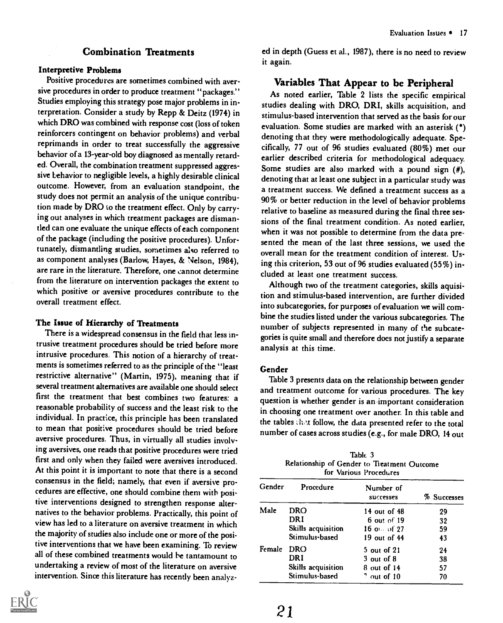# Combination Treatments

#### Interpretive Problems

Positive procedures are sometimes combined with aversive procedures in order to produce treatment "packages." Studies employing this strategy pose major problems in interpretation. Consider a study by Repp & Deitz (1974) in which DRO was combined with response cost (loss of token reinforcers contingent on behavior problems) and verbal reprimands in order to treat successfully the aggressive behavior of a 13-year-old boy diagnosed as mentally retarded. Overall, the combination treatment suppressed aggressive behavior to negligible levels, a highly desirable clinical outcome. However, from an evaluation standpoint, the study does not permit an analysis of the unique contribution made by DRO to the treatment effect. Only by carrying out analyses in which treatment packages are dismantled can one evaluate the unique effects of each component of the package (including the positive procedures). Unfortunately, dismantling studies, sometimes also referred to as component analyses (Barlow, Hayes, & Nelson, 1984), are rare in the literature. Therefore, one cannot determine from the literature on intervention packages the extent to which positive or aversive procedures contribute to the overall treatment effect.

#### The Issue of Hierarchy of Treatments

There is a widespread consensus in the field that less intrusive treatment procedures should be tried before more intrusive procedures. This notion of a hierarchy of treatments is sometimes referred to as the principle of the "least restrictive alternative" (Martin, 1975), meaning that if several treatment alternatives are available one should select first the treatment that best combines two features: a reasonable probability of success and the least risk to the individual. In practice, this principle has been translated to mean that positive procedures should be tried before aversive procedures. Thus, in virtually all studies involving aversives, one reads that positive procedures were tried first and only when they failed were aversives introduced. At this point it is important to note that there is a second consensus in the field; namely, that even if aversive procedures are effective, one should combine them with positive interventions designed to strengthen response alternatives to the behavior problems. Practically, this point of view has led to a literature on aversive treatment in which the majority of studies also include one or more of the positive interventions that we have been examining. To review all of these combined treatments would he tantamount to undertaking a review of most of the literature on aversive intervention. Since this literature has recently been analyz-



ed in depth (Guess et al., 1987), there is no need to review it again.

### Variables That Appear to be Peripheral

As noted earlier, Table 2 lists the specific empirical studies dealing with DRO, DRI, skills acquisition, and stimulus-based intervention that served as the basis for our evaluation. Some studies are marked with an asterisk (\*) denoting that they were methodologically adequate. Specifically, 77 out of 96 studies evaluated (80%) met our earlier described criteria for methodological adequacy. Some studies are also marked with a pound sign (#), denoting that at least one subject in a particular study was a treatment success. We defined a treatment success as a 90% or better reduction in the level of behavior problems relative to baseline as measured during the final three sessions of the final treatment condition. As noted earlier, when it was not possible to determine from the data presented the mean of the last three sessions, we used the overall mean for the treatment condition of interest. Using this criterion, 53 out of 96 studies evaluated (55%) included at least one treatment success.

Although two of the treatment categories, skills aquisition and stimulus-based intervention, are further divided into subcategories, for purposes of evaluation we will combine the studies listed under the various subcategories. The number of subjects represented in many of the subcategories is quite small and therefore does not justify a separate analysis at this time.

#### Gender

Table 3 presents data on the relationship between gender and treatment outcome for various procedures. The key question is whether gender is an important consideration in choosing one treatment over another. In this table and the tables chot follow, the data presented refer to the total number of cases across studies (e.g., for male DRO, 14 out

Table 3 Relationship of Gender to Treatment Outcome for Various Procedures

| Gender | Procedure          | Number of<br>successes | % Successes |
|--------|--------------------|------------------------|-------------|
| Male   | DRO                | 14 out of 48           | 29          |
|        | DRI                | 6 out of 19            | 32          |
|        | Skills acquisition | $16$ of $27$           | 59          |
|        | Stimulus-based     | 19 out of 44           | 43          |
| Female | DRO                | 5 out of 21            | 24          |
|        | DRI                | $3$ out of $8$         | 38          |
|        | Skills acquisition | 8 out of 14            | 57          |
|        | Stimulus-based     | $7$ out of $10$        | 70          |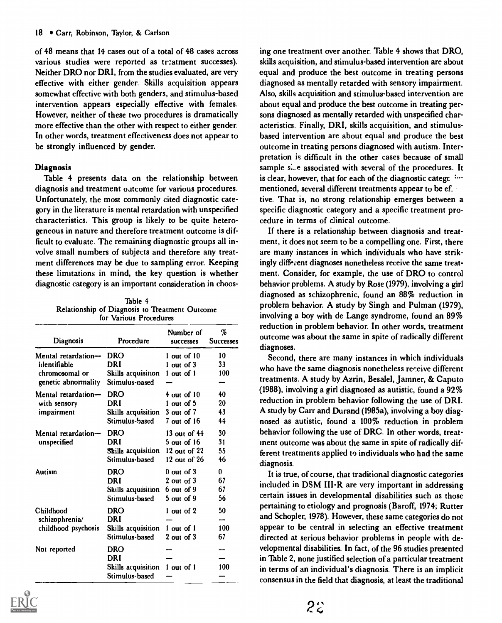of 48 means that 14 cases out of a total of 48 cases across various studies were reported as tr:atment successes). Neither DRO nor DRI, from the studies evaluated, are very effective with either gender. Skills acquisition appears somewhat effective with both genders, and stimulus-based intervention appears especially effective with females. However, neither of these two procedures is dramatically more effective than the other with respect to either gender. In other words, treatment effectiveness does not appear to be strongly influenced by gender.

#### Diagnosis

Table 4 presents data on the relationship between diagnosis and treatment outcome for various procedures. Unfortunately, the most commonly cited diagnostic category in the literature is mental retardation with unspecified characteristics. This group is likely to be quite heterogeneous in nature and therefore treatment outcome is difficult to evaluate. The remaining diagnostic groups all involve small numbers of subjects and therefore any treatment differences may be due to sampling error. Keeping these limitations in mind, the key question is whether diagnostic category is an important consideration in choos-

Table 4 Relationship of Diagnosis to Treatment Outcome for Various Procedures

| Diagnosis           | Procedure                       | Number of<br>successes | %<br><b>Successes</b> |
|---------------------|---------------------------------|------------------------|-----------------------|
| Mental retardation- | <b>DRO</b>                      | $1$ out of $10$        | 10                    |
| identifiable        | DRI                             | 1 out of 3             | 33                    |
| chromosomal or      | Skills acquisition              | 1 out of 1             | 100                   |
| genetic abnormality | Stimulus-pased                  |                        |                       |
| Mental retardation- | <b>DRO</b>                      | $4$ out of $10$        | 40                    |
| with sensory        | DRI                             | 1 out of 5             | 20                    |
| impairment          | Skills acquisition              | $3$ out of $7$         | 43                    |
|                     | Stimulus-based                  | 7 out of 16            | 44                    |
| Mental retardation- | <b>DRO</b>                      | 13 out of 44           | 30                    |
| unspecified         | DRI                             | $5$ out of $16$        | 31                    |
|                     | Skills acquisition 12 out of 22 |                        | 55                    |
|                     | Stimulus-based                  | 12 out of 26           | 46                    |
| <b>Autism</b>       | <b>DRO</b>                      | $0$ out of $3$         | 0                     |
|                     | DRI                             | $2$ out of $3$         | 67                    |
|                     | Skills acquisition              | 6 out of 9             | 67                    |
|                     | Stimulus-based                  | 5 out of 9             | 56                    |
| Childhood           | DRO                             | 1 out of 2             | 50                    |
| schizophrenia/      | DRI                             |                        |                       |
| childhood psychosis | Skills acquisition              | 1 out of 1             | 100                   |
|                     | Stimulus-based                  | $2$ out of $3$         | 67                    |
| Not reported        | DRO                             |                        |                       |
|                     | DRI                             |                        |                       |
|                     | Skills acquisition              | 1 out of 1             | 100                   |
|                     | Stimulus-based                  |                        |                       |



ing one treatment over another. Table 4 shows that DRO, skills acquisition, and stimulus-based intervention are about equal and produce the best outcome in treating persons diagnosed as mentally retarded with sensory impairment. Also, skills acquisition and stimulus-based intervention are about equal and produce the best outcome in treating persons diagnosed as mentally retarded with unspecified characteristics. Finally, DRI, skills acquisition, and stimulusbased intervention are about equal and produce the best outcome in treating persons diagnosed with autism. Interpretation is difficult in the other cases because of small sample size associated with several of the procedures. It is clear, however, that for each of the diagnostic catege inmentioned, several different treatments appear to be ef. tive. That is, no strong relationship emerges between a specific diagnostic category and a specific treatment procedure in terms of clinical outcome.

If there is a relationship between diagnosis and treatment, it does not seem to be a compelling one. First, there are many instances in which individuals who have strikingly different diagnoses nonetheless receive the same treatment. Consider, for example, the use of DRO to control behavior problems. A study by Rose (1979), involving a girl diagnosed as schizophrenic, found an 88% reduction in problem behavior. A study by Singh and Pulman (1979), involving a boy with de Lange syndrome, found an 89% reduction in problem behavior. In other words, treatment outcome was about the same in spite of radically different diagnoses.

Second, there are many instances in which individuals who have the same diagnosis nonetheless receive different treatments. A study by Azrin, Besalel, Jamner, & Caputo (1988), involving a girl diagnosed as autistic, found a 92% reduction in problem behavior following the use of DRI. A study by Carr and Durand (1985a), involving a boy diagnosed as autistic, found a 100% reduction in problem behavior following the use of DRC. In other words, treatment outcome was about the same in spite of radically different treatments applied to individuals who had the same diagnosis.

It is true, of course, that traditional diagnostic categories included in DSM III-R are very important in addressing certain issues in developmental disabilities such as those pertaining to etiology and prognosis (Baroff, 1974; Rutter and Schopler, 1978). However, these same categories do not appear to be central in selecting an effective treatment directed at serious behavior problems in people with developmental disabilities. In fact, of the 96 studies presented in Table 2, none justified selection of a particular treatment in terms of an individual's diagnosis. There is an implicit consensus in the field that diagnosis, at least the traditional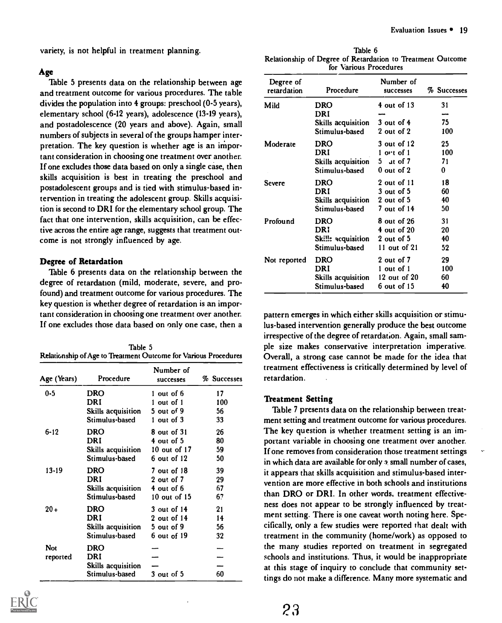variety, is not helpful in treatment planning.

#### Age

Table 5 presents data on the relationship between age and treatment outcome for various procedures. The table divides the population into 4 groups: preschool (0-5 years), elementary school (6-12 years), adolescence (13-19 years), and postadolescence (20 years and above). Again, small numbers of subjects in several of the groups hamper interpretation. The key question is whether age is an important consideration in choosing one treatment over another. If one excludes those data based on only a single case, then skills acquisition is best in treating the preschool and postadolescent groups and is tied with stimulus-based intervention in treating the adolescent group. Skills acquisition is second to DRI for the elementary school group. The fact that one intervention, skills acquisition, can be effective across the entire age range, suggests that treatment outcome is not strongly influenced by age.

#### Degree of Retardation

Table 6 presents data on the relationship between the degree of retardation (mild, moderate, severe, and profound) and treatment outcome for various procedures. The key question is whether degree of retardation is an important consideration in choosing one treatment over another. If one excludes those data based on only one case, then a

| Table 5                                                         | ple |
|-----------------------------------------------------------------|-----|
| Relationship of Age to Treatment Outcome for Various Procedures | O,  |

| Age (Years) | Procedure                 | Number of<br>successes | % Successes |
|-------------|---------------------------|------------------------|-------------|
| $0 - 5$     | <b>DRO</b>                | 1 out of 6             | 17          |
|             | DRI                       | 1 out of 1             | 100         |
|             | <b>Skills acquisition</b> | 5 out of 9             | 56          |
|             | Stimulus-based            | $1$ out of $3$         | 33          |
| $6 - 12$    | <b>DRO</b>                | 8 out of 31            | 26          |
|             | DRI                       | 4 out of 5             | 80          |
|             | Skills acquisition        | 10 out of $17$         | 59          |
|             | Stimulus-based            | 6 out of 12            | 50          |
| $13 - 19$   | <b>DRO</b>                | 7 out of 18            | 39          |
|             | DRI                       | 2 out of 7             | 29          |
|             | Skills acquisition        | 4 out of 6             | 67          |
|             | Stimulus-based            | 10 out of 15           | 67          |
| $20 +$      | <b>DRO</b>                | 3 out of 14            | 21          |
|             | DRI                       | 2 out of 14            | 14          |
|             | <b>Skills acquisition</b> | $5$ out of $9$         | 56          |
|             | Stimulus-based            | 6 out of 19            | 32          |
| Not         | <b>DRO</b>                |                        |             |
| reported    | DRI                       |                        |             |
|             | Skills acquisition        |                        |             |
|             | Stimulus-based            | 3 out of 5             | 60          |



| Table 6                                                    |  |
|------------------------------------------------------------|--|
| Relationship of Degree of Retardation to Treatment Outcome |  |
| for Various Procedures                                     |  |

| Degree of<br>retardation | Procedure                 | Number of<br>successes | % Successes |
|--------------------------|---------------------------|------------------------|-------------|
| Mild                     | <b>DRO</b>                | 4 out of 13            | 31          |
|                          | DRI<br>Skills acquisition | $3$ out of $4$         | 75          |
|                          | Stimulus-based            | 2 out of 2             | 100         |
| Moderate                 | <b>DRO</b>                | 3 out of 12            | 25          |
|                          | DRI                       | 1 ort of 1             | 100         |
|                          | Skills acquisition        | 5 at of 7              | 71          |
|                          | Stimulus-based            | $0$ out of $2$         | 0           |
| Severe                   | <b>DRO</b>                | 2 out of 11            | 18          |
|                          | DRI                       | $3$ out of $5$         | 60          |
|                          | Skills acquisition        | $2$ out of $5$         | 40          |
|                          | Stimulus-based            | 7 out of 14            | 50          |
| Profound                 | <b>DRO</b>                | 8 out of 26            | 31          |
|                          | DRI                       | 4 out of 20            | 20          |
|                          | Skille acquisition        | 2 out of 5             | 40          |
|                          | Stimulus-based            | 11 out of $21$         | 52          |
| Not reported             | <b>DRO</b>                | 2 out of 7             | 29          |
|                          | DRI                       | 1 out of 1             | 100         |
|                          | Skills acquisition        | 12 out of 20           | 60          |
|                          | Stimulus-based            | $6$ out of 15          | 40          |

pattern emerges in which either skills acquisition or stimulus-based intervention generally produce the best outcome irrespective of the degree of retardation. Again, small sample size makes conservative interpretation imperative. Overall, a strong case cannot be made for the idea that treatment effectiveness is critically determined by level of retardation.

#### Treatment Setting

Table 7 presents data on the relationship between treatment setting and treatment outcome for various procedures. The key question is whether treatment setting is an important variable in choosing one treatment over another. If one removes from consideration those treatment settings in which data are available for only  $\alpha$  small number of cases, it appears that skills acquisition and stimulus-based intervention are more effective in both schools and institutions than DRO or DRI. In other words, treatment effectiveness does not appear to be strongly influenced by treatment setting. There is one caveat worth noting here. Specifically, only a few studies were reported that dealt with treatment in the community (home/work) as opposed to the many studies reported on treatment in segregated schools and institutions. Thus, it would be inappropriate at this stage of inquiry to conclude that community settings do not make a difference. Many more systematic and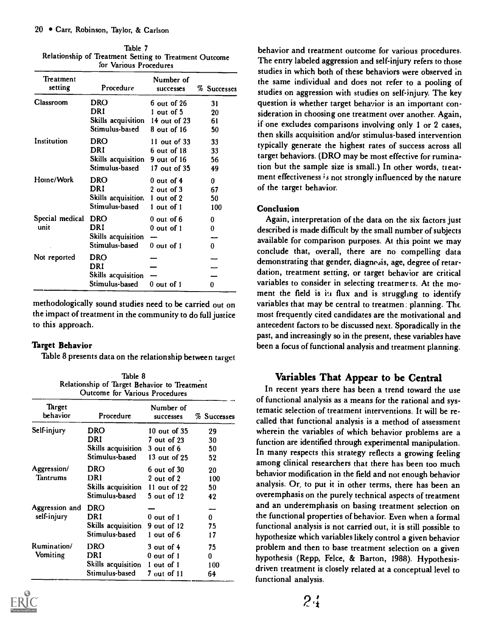| Table 7                                                |    |
|--------------------------------------------------------|----|
| Relationship of Treatment Setting to Treatment Outcome | ., |
| for Various Procedures                                 |    |

| Treatment<br>setting | Procedure          | Number of<br>successes | % Successes |
|----------------------|--------------------|------------------------|-------------|
| Classroom            | <b>DRO</b>         | 6 out of 26            | 31          |
|                      | DRI                | 1 out of 5             | 20          |
|                      | Skills acquisition | $14$ out of $23$       | 61          |
|                      | Stimulus-based     | $8$ out of 16          | 50          |
| Institution          | DRO                | 11 out of $33$         | 33          |
|                      | DRI                | $6$ out of $18$        | 33          |
|                      | Skills acquisition | 9 out of 16            | 56          |
|                      | Stimulus-based     | 17 out of 35           | 49          |
| Home/Work            | DRO                | $0$ out of $4$         | 0           |
|                      | DRI                | $2$ out of $3$         | 67          |
|                      | Skills acquisition | 1 out of 2             | 50          |
|                      | Stimulus-based     | 1 out of 1             | 100         |
| Special medical      | <b>DRO</b>         | $0$ out of $6$         | 0           |
| unit                 | DRI                | $0$ out of $1$         | 0           |
|                      | Skills acquisition |                        |             |
|                      | Stimulus-based     | $0$ out of 1           | 0           |
| Not reported         | <b>DRO</b>         |                        |             |
|                      | DRI                |                        |             |
|                      | Skills acquisition |                        |             |
|                      | Stimulus-based     | 0 out of 1             | 0           |
|                      |                    |                        |             |

methodologically sound studies need to be carried out on the impact of treatment in the community to do full justice to this approach.

# Thrget Behavior

Table 8 presents data on the relationship between target

Table 8 Relationship of Target Behavior to Treatment Outcome for Various Procedures

| Target<br>behavior | Procedure          | Number of<br>successes | % Successes |
|--------------------|--------------------|------------------------|-------------|
| Self-injury        | <b>DRO</b>         | 10 out of 35           | 29          |
|                    | DRI                | 7 out of 23            | 30          |
|                    | Skills acquisition | $3$ out of $6$         | 50          |
|                    | Stimulus-based     | $13$ out of $25$       | 52          |
| Aggression/        | DRO                | $6$ out of $30$        | 20          |
| <b>Tantrums</b>    | DRI                | 2 out of 2             | 100         |
|                    | Skills acquisition | 11 out of 22           | 50          |
|                    | Stimulus-based     | 5 out of 12            | 42          |
| Aggression and     | <b>DRO</b>         |                        |             |
| self-injury        | DRI                | $0$ out of $1$         | $\bf{0}$    |
|                    | Skills acquisition | 9 out of 12            | 75          |
|                    | Stimulus-based     | 1 out of 6             | 17          |
| <b>Rumination/</b> | <b>DRO</b>         | $3$ out of $4$         | 75          |
| Vomiting           | DRI                | 0 out of 1             | 0           |
|                    | Skills acquisition | 1 out of 1             | 100         |
|                    | Stimulus-based     | 7 out of 11            | 64          |



behavior and treatment outcome for various procedures. The entry labeled aggression and self-injury refers to those studies in which both of these behaviors were observed in the same individual and does not refer to a pooling of studies on aggression with studies on self-injury. The key question is whether target behavior is an important consideration in choosing one treatment over another. Again, if one excludes comparisons involving only 1 or 2 cases, then skills acquisition and/or stimulus-based intervention typically generate the highest rates of success across all target behaviors. (DRO may be most effective for rumination but the sample size is small.) In other words, treatment effectiveness is not strongly influenced by the nature of the target behavior.

### Conclusion

Again, interpretation of the data on the six factors just described is made difficult by the small number of subjects available for comparison purposes. At this point we may conclude that, overall, there are no compelling data demonstrating that gender, diagnesis, age, degree of retardation, treatment setting, or target behavior are critical variables to consider in selecting treatmer ts. At the moment the field is in flux and is struggling to identify variables that may be central to treatmen . planning. Thc most frequently cited candidates are the motivational and antecedent factors to be discussed next. Sporadically in the past, and increasingly so in the present, these variables have been a focus of functional analysis and treatment planning.

# Variables That Appear to be Central

In recent years there has been a trend toward the use of functional analysis as a means for the rational and systematic selection of treatment interventions. It will be recalled that functional analysis is a method of assessment wherein the variables of which behavior problems are a function are identified through experimental manipulation. In many respects this strategy reflects a growing feeling among clinical researchers that there has been too much behavior modification in the field and not enough behavior analysis. Or, to put it in other terms, there has been an overemphasis on the purely technical aspects of treatment and an underemphasis on basing treatment selection on the functional properties of behavior. Even when a formal functional analysis is not carried out, it is still possible to hypothesize which variables likely control a given behavior problem and then to base treatment selection on a given hypothesis (Repp, Felce, & Barton, 1988). Hypothesisdriven treatment is closely related at a conceptual level to functional analysis.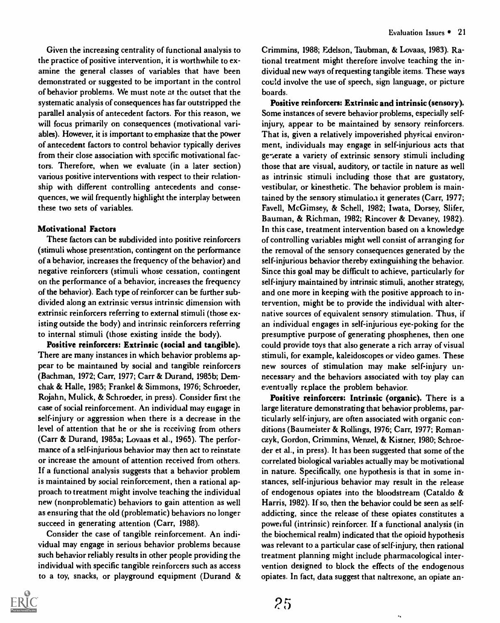Given the increasing centrality of functional analysis to the practice of positive intervention, it is worthwhile to examine the general classes of variables that have been demonstrated or suggested to be important in the control of behavior problems. We must note at the outset that the systematic analysis of consequences has far outstripped the parallel analysis of antecedent factors. For this reason, we will focus primarily on consequences (motivational variables). However, it is important to emphasize that the power of antecedent factors to control behavior typically derives from their close association with specific motivational factors. Therefore, when we evaluate (in a later section) various positive interventions with respect to their relationship with different controlling antecedents and consequences, we will frequently highlight the interplay between these two sets of variables.

#### Motivational Factors

These factors can be subdivided into positive reinforcers (stimuli whose presentation, contingent on the performance of a behavior, increases the frequency of the behavior) and negative reinforcers (stimuli whose cessation, contingent on the performance of a behavior, increases the frequency of the behavior). Each type of reinforcer can be further subdivided along an extrinsic versus intrinsic dimension with extrinsic reinforcers referring to external stimuli (those existing outside the body) and intrinsic reinforcers referring to internal stimuli (those existing inside the body).

Positive reinforcers: Extrinsic (social and tangible). There are many instances in which behavior problems appear to be maintained by social and tangible reinforcers (Bachman, 1972; Carr, 1977; Carr & Durand, 1985b; Demchak & Halle, 1985; Frankel & Simmons, 1976; Schroeder, Rojahn, Mulick, & Schroeder, in press). Consider first the case of social reinforcement. An individual may engage in self-injury or aggression when there is a decrease in the level of attention that he or she is receiving from others (Carr & Durand, 1985a; Lovaas et al., 1965). The performance of a self-injurious behavior may then act to reinstate or increase the amount of attention received from others. If a functional analysis suggests that a behavior problem is maintained by social reinforcement, then a rational approach to treatment might involve teaching the individual new (nonproblematic) behaviors to gain attention as well as ensuring that the old (problematic) behaviors no longer succeed in generating attention (Carr, 1988).

Consider the case of tangible reinforcement. An individual may engage in serious behavior problems because such behavior reliably results in other people providing the individual with specific tangible reinforcers such as access to a toy, snacks, or playground equipment (Durand &



Crimmins, 1988; Edelson, Taubman, & Lovaas, 1983). Rational treatment might therefore involve teaching the individual new ways of requesting tangible items. These ways couid involve the use of speech, sign language, or picture boards.

Positive reinforcers: Extrinsic and intrinsic (sensory). Some instances of severe behavior problems, especially selfinjury, appear to be maintained by sensory reinforcers. That is, given a relatively impoverished physicai environment, individuals may engage in self-injurious acts that generate a variety of extrinsic sensory stimuli including those that are visual, auditory, or tactile in nature as well as intrinsic stimuli including those that are gustatory, vestibular, or kinesthetic. The behavior problem is maintained by the sensory stimulatiaa it generates (Carr, 1977; Favell, McGimsey, & Schell, 1982; Iwata, Dorsey, Slifer, Bauman, & Richman, 1982; Rincover & Devaney, 1982). In this case, treatment intervention based on a knowledge of controlling variables might well consist of arranging for the removal of the sensory consequences generated by the self-injurious behavior thereby extinguishing the behavior. Since this goal may be difficult to achieve, particularly for self-injury maintained by intrinsic stimuli, another strategy, and one more in keeping with the positive approach to intervention, might be to provide the individual with alternative sources of equivalent sensory stimulation. Thus, if an individual engages in self-injurious eye-poking for the presumptive purpose of generating phosphenes, then one could provide toys that also generate a rich array of visual stimuli, for example, kaleidoscopes or video games. These new sources of stimulation may make self-injury unnecessary and the behaviors associated with toy play can eventually replace the problem behavior.

Positive reinforcers: Intrinsic (organic). There is a large literature demonstrating that behavior problems, particularly self-injury, are often associated with organic conditions (Baumeister & Rollings, 1976; Carr, 1977; Romanczyk, Gordon, Crimmins, Wenzel, & Kistner, 1980; Schroeder et al., in press). It has been suggested that some of the correlated biological variables actually may be motivational in nature. Specifically, one hypothesis is that in some instances, self-injurious behavior may result in the release of endogenous opiates into the bloodstream (Cataldo & Harris, 1982). If so, then the behavior could be seen as selfaddicting, since the release of these opiates constitutes a poweeful (intrinsic) reinforcer. If a functional analysis (in the biochemical realm) indicated that the opioid hypothesis was relevant to a particular case of self-injury, then rational treatment planning might include pharmacological intervention designed to block the effects of the endogenous opiates. In fact, data suggest that naltrexone, an opiate an-

 $\ddotsc$ 

 $25$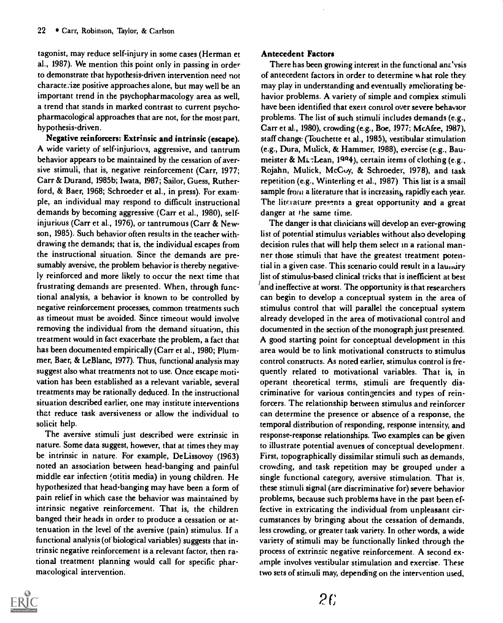tagonist, may reduce self-injury in some cases (Herman et al., 1987). We mention this point only in passing in order to demonstrate that hypothesis-driven intervention need not characte:ize positive approaches alone, but may well be an important trend in the psychopharmacology area as well, a trend that stands in marked contrast to current psychopharmacological approaches that are not, for the most part, hypothesis-driven.

Negative reinforcers: Extrinsic and intrinsic (escape). A wide variety of self-injuriovs, aggressive, and tantrum behavior appears to be maintained by the cessation of aversive stimuli, that is, negative reinforcement (Carr, 1977; Carr & Durand, 1985b; Iwata, 1987; Sailor, Guess, Rutherford, & Baer, 1968; Schroeder et al., in press). For exam. ple, an individual may respond to difficult instructional demands by becoming aggressive (Carr et al., 1980), selfinjurious (Carr et al., 1976), or tantrumous (Carr & Newson, 1985). Such behavior often results in the teacher withdrawing the demands; that is, the individual escapes from the instructional situation. Since the demands are presumably aversive, the problem behavior is thereby negatively reinforced and more likely to occur the next time that frustrating demands are presented. When, through functional analysis, a behavior is known to be controlled by negative reinforcement processes, common treatments such as timeout must be avoided. Since timeout would involve removing the individual from the demand situation, this treatment would in fact exacerbate the problem, a fact that has been documented empirically (Carr et al., 1980; Plummer, Baer, & LeBlanc, 1977). Thus, functional analysis may suggest also what treatments not to use. Once escape motivation has been established as a relevant variable, several treatments may be rationally deduced. In the instructional situation described earlier, one may institute interventions that reduce task aversiveness or allow the individual to solicit help.

The aversive stimuli just described were extrinsic in nature. Some data suggest, however, that at times they may be intrinsic in nature. For example, DeLissovoy (1963) noted an association between head-banging and painful middle ear infection (otitis media) in young children. He hypothesized that head-banging may have been a form of pain relief in which case the behavior was maintained by intrinsic negative reinforcement. That is, the children banged their heads in order to produce a cessation or attenuation in the level of the aversive (pain) stimulus. If a functional analysis (of biological variables) suggests that intrinsic negative reinforcement is a relevant factor, then rational treatment planning would call for specific pharmacological intervention.

#### Antecedent Factors

There has been growing interest in the functional analysis of antecedent factors in order to determine %hat role they may play in understanding and eventually omeliorating behavior problems. A variety of simple and complex stimuli have been identified that exert control over severe behavior problems. The list of such stimuli includes demands (e.g., Carr et aL, 1980), crowding (e.g., Boe, 1977; McAfee, 1987), staff change (Touchette et al., 1985), vestibular stimulation (e.g., Dura, Mulick, & Hammer, 1988), exercise (e.g., Baumeister & MacLean, 1984), certain items of clothing (e.g., Rojahn, Mulick, McCoy, & Schroeder, 1978), and task repetition (e.g., Winterling et al., 1987) This list is a small sample from a literature that is increasing rapidly each year. The literature presents a great opportunity and a great danger at the same time.

The danger is that clinicians will develop an ever-growing list of potential stimulus variables without also developing decision rules that will help them select in a rational manner those stimuli that have the greatest treatment potential in a given case. This scenario could result in a laundry list of stimulus-based clinical tricks that is inefficient at best and ineffective at worst. The opportunity is that researchers can begin to develop a conceptual system in the area of stimulus control that will parallel the conceptual system already developed in the area of motivational control and documented in the section of the monograph just presented. A good starting point for conceptual development in this area would be to link motivational constructs to stimulus control constructs. As noted earlier, stimulus control is frequently related to motivational variables. That is, in operant theoretical terms, stimuli are frequently discriminative for various contingencies and types of reinforcers. The relationship between stimulus and reinforcer can determine the presence or absence of a response, the temporal distribution of responding, response intensity, and response-response relationships. Two examples can be given to illustrate potential avenues of conceptual development. First, topographically dissimilar stimuli such as demands, crowding, and task repetition may be grouped under a single functional category, aversive stimulation. That is, these stimuli signal (are discriminative for) severe behavior problems, because such problems have in the past been effective in extricating the individual from unpleasant circumstances by bringing about the cessation of demands, less crowding, or greater task variety. In other words, a wide variety of stimuli may be functionally linked through the process of extrinsic negative reinforcement. A second example involves vestibular stimulation and exercise. These two sets of stimuli may, depending on the intervention used,

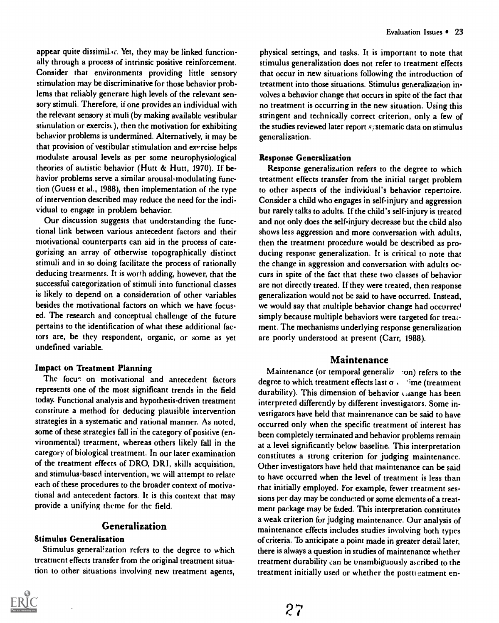appear quite dissimilar. Yet, they may be linked functionally through a process of intrinsic positive reinforcement. Consider that environments providing little sensory stimulation may be discriminative for those behavior problems that reliably generate high levels of the relevant sensory stimuli. Therefore, if one provides an individual with the relevant sensory stimuli (by making available vestibular stimulation or exercise), then the motivation for exhibiting behavior problems is undermined. Alternatively, it may be that provision of vestibular stimulation and exercise helps modulate arousal levels as per some neurophysiological theories of autistic behavior (Hutt & Hutt, 1970). If behavior problems serve a similar arousal-modulating function (Guess et al., 1988), then implementation of the type of intervention described may reduce the need for the individual to engage in problem behavior.

Our discussion suggests that understanding the functional link between various antecedent factors and their motivational counterparts can aid in the process of categorizing an array of otherwise topographically distinct stimuli and in so doing facilitate the process of rationally deducing treatments. It is worth adding, however, that the successful categorization of stimuli into functional classes is likely to depend on a consideration of other variables besides the motivational factors on which we have focused. The research and conceptual challenge of the future pertains to the identification of what these additional factors are, be they respondent, organic, or some as yet undefined variable.

#### Impact on Treatment Planning

The focus on motivational and antecedent factors represents one of the most significant trends in the field today. Functional analysis and hypothesis-driven treatment constitute a method for deducing plausible intervention strategies in a systematic and rational manner. As noted, some of these strategies fall in the category of positive (environmental) treatment, whereas others likely fall in the category of biological treatment. In our later examination of the treatment effects of DRO, DRI, skills acquisition, and stimulus-based intervention, we will attempt to relate each of these procedures to the broader context of motivational and antecedent factors. It is this context that may provide a unifying theme for the field,

# Generalization

### Stimulus Generalization

Stimulus generalization refers to the degree to which treatment effects transfer from the original treatment situation to other situations involving new treatment agents,

physical settings, and tasks. It is important to note that stimulus generalization does not refer to treatment effects that occur in new situations following the introduction of treatment into those situations. Stimulus generalization involves a behavior change that occurs in spite of the fact that no treatment is occurring in the new situation. Using this stringent and technically correct criterion, only a few of the studies reviewed later report systematic data on stimulus generalization.

#### Response Generalization

Response generalization refers to the degree to which treatment effects transfer from the initial target problem to other aspects of the individual's behavior repertoire. Consider a child who engages in self-injury and aggression but rarely talks to adults. If the child's self-injury is treated and not only does the self-injury decrease but the child also shows less aggression and more conversation with adults, then the treatment procedure would be described as producing response generalization. It is critical to note that the change in aggression and conversation with adults occurs in spite of the fact that these two classes of behavior are not directly treated. If they were treated, then response generalization would not be said to have occurred. Instead, we would say that multiple behavior change had occurred simply because multiple behaviors were targeted for treaiment. The mechanisms underlying response generalization are poorly understood at present (Carr, 1988).

# Maintenance

Maintenance (or temporal generaliz ... on) refers to the degree to which treatment effects last  $\sigma$   $\cdots$  'ime (treatment durability). This dimension of behavior  $\triangle$  ange has been interpreted differently by different investigators. Some investigators have held that maintenance can be said to have occurred only when the specific treatment of interest has been completely terminated and behavior problems remain at a level significantly below baseline. This interpretation constitutes a strong criterion for judging maintenance. Other investigators have held that maintenance can be said to have occurred when the level of treatment is less than that initially employed. For example, fewer treatment sessions per day may be conducted or some elements of a treatment package may be faded. This interpretation constitutes a weak criterion for judging maintenance. Our analysis of maintenance effects includes studies involving both types of criteria. To anticipate a point made in greater detail later, there is always a question in studies of maintenance whether treatment durability can be unambiguously ascribed to the treatment initially used or whether the posttieatment en-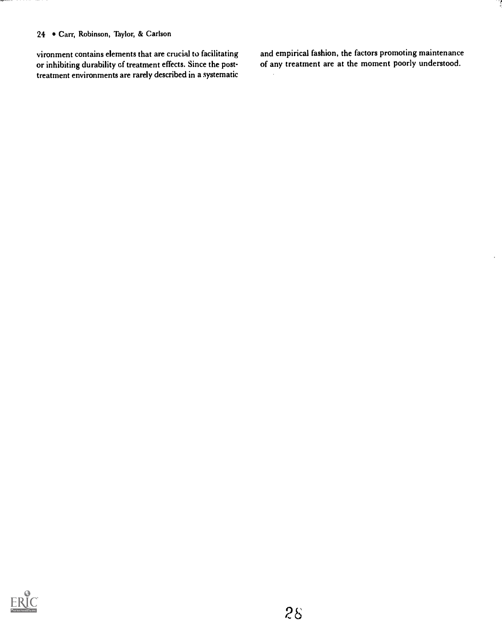### 24 • Carr, Robinson, Taylor, & Carlson

vironment contains elements that are crucial to facilitating or inhibiting durability of treatment effects. Since the posttreatment environments are rarely described in a systematic and empirical fashion, the factors promoting maintenance of any treatment are at the moment poorly understood.

 $\ddot{\phantom{0}}$ 

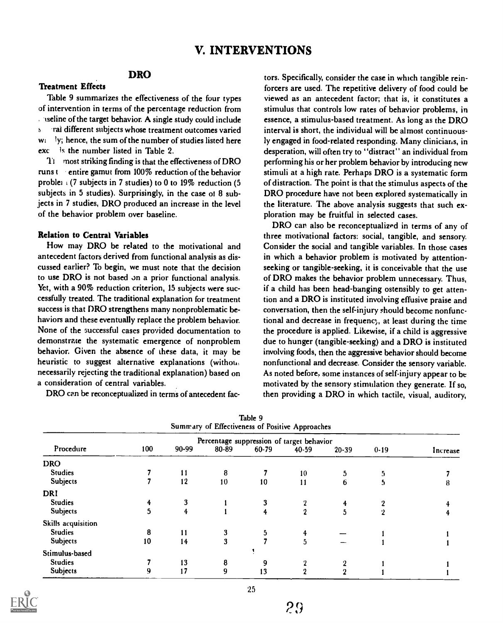# V. INTERVENTIONS

# DRO

# Treatment Effects

Table 9 summarizes the effectiveness of the four types of intervention in terms of the percentage reduction from  $\therefore$  iseline of the target behavior. A single study could include s rat different subjects whose treatment outcomes varied wi ly; hence, the sum of the number of studies listed here exc Is the number listed in Table 2.

Ti most striking finding is that the effectiveness of DRO runs  $t$  entire gamut from 100% reduction of the behavior problet  $(7 \text{ subjects in } 7 \text{ studies})$  to 0 to 19% reduction (5) subjects in 5 studies). Surprisingly, in the case ot 8 subjects in 7 studies, DRO produced an increase in the level of the behavior problem over baseline.

#### Relation to Central Variables

How may DRO be related to the motivational and antecedent factors derived from functional analysis as discussed earlier? To begin, we must note that the decision to use DRO is not based on a prior functional analysis. Yet, with a 90% reduction criterion, 15 subjects were successfully treated. The traditional explanation for treatment success is that DRO strengthens many nonproblematic behaviors and these eventually replace the problem behavior. None of the successful cases provided documentation to demonstrate the systematic emergence of nonproblem behavior. Given the absence of these data, it may be heuristic to suggest alternative explanations (withon: necessarily rejecting the traditional explanation) based on a consideration of central variables.

DRO can be reconceptualized in terms of antecedent fac-

tors. Specifically, consider the case in which tangible reinforcers are used. The repetitive delivery of food could be viewed as an antecedent factor; that is, it constitutes a stimulus that controls low rates of behavior problems, in essence, a stimulus-based treatment. As long as the DRO interval is short, the individual will be almost continuously engaged in food-related responding. Many clinicians, in desperation, will often try to "distract" an individual from performing his or her problem behavior by introducing new stimuli at a high rate. Perhaps DRO is a systematic form of distraction. The point is that the stimulus aspects of the DRO procedure have not been explored systematically in the literature. The above analysis suggests that such exploration may be fruitful in selected cases.

DRO can also be reconceptualized in terms of any of three motivational factors: social, tangible, and sensory. Consider the social and tangible variables. In those cases in which a behavior problem is motivated by attentionseeking or tangible-seeking, it is conceivable that the use of DRO makes the behavior problem unnecessary. Thus, if a child has been head-banging ostensibly to get attention and a DRO is instituted involving effusive praise and conversation, then the self-injury should become nonfunctional and decrease in frequenc, at least during the time the procedure is applied. Likewise, if a child is aggressive due to hunger (tangible-seeking) and a DRO is instituted involving foods, then the aggressive behavior should become nonfunctional and decrease. Consider the sensory variable. As noted before, some instances of self-injury appear to be motivated by the sensory stimulation they generate. If so, then providing a DRO in which tactile, visual, auditory,

| Summary of Effectiveness of Positive Approaches                                              |    |    |    |    |           |           |            |          |
|----------------------------------------------------------------------------------------------|----|----|----|----|-----------|-----------|------------|----------|
| Percentage suppression of target behavior<br>Procedure<br>100<br>$80 - 89$<br>90-99<br>60-79 |    |    |    |    |           |           |            |          |
|                                                                                              |    |    |    |    | $40 - 59$ | $20 - 39$ | $0 - 19$   | Increase |
| <b>DRO</b>                                                                                   |    |    |    |    |           |           |            |          |
| <b>Studies</b>                                                                               |    | 11 | 8  |    | 10        | 5         |            |          |
| Subjects                                                                                     |    | 12 | 10 | 10 | 11        | 6         |            | 8        |
| DRI                                                                                          |    |    |    |    |           |           |            |          |
| <b>Studies</b>                                                                               |    |    |    |    |           |           |            |          |
| Subjects                                                                                     | 5  | 4  |    |    | 2         | 5         | $^{\circ}$ |          |
| Skills acquisition                                                                           |    |    |    |    |           |           |            |          |
| <b>Studies</b>                                                                               | 8  | 11 |    |    | 4         |           |            |          |
| Subjects                                                                                     | 10 | 14 | 3  |    | 5         |           |            |          |
| Stimulus-based                                                                               |    |    |    |    |           |           |            |          |
| <b>Studies</b>                                                                               |    | 13 | 8  |    |           | о         |            |          |
| Subjects                                                                                     | 9  | 17 | 9  | 13 | 9.        | റ         |            |          |

Table 9

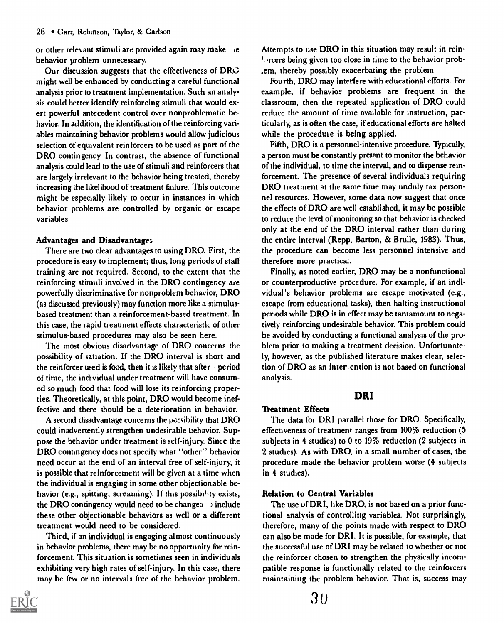or other relevant stimuli are provided again may make ie behavior problem unnecessary.

Our discussion suggests that the effectiveness of DRO might well be enhanced by conducting a careful functional analysis prior to treatment implementation. Such an analysis could better identify reinforcing stimuli that would exert powerful antecedent control over nonproblematic behavior. In addition, the identification of the reinforcing variables maintaining behavior problems would allow judicious selection of equivalent reinforcers to be used as part of the DRO contingency. In contrast, the absence of functional analysis could lead to the use of stimuli and reinforcers that are largely irrelevant to the behavior being treated, thereby increasing the likelihood of treatment failure. This outcome might be especially likely to occur in instances in which behavior problems are controlled by organic or escape variables.

#### Advantages and Disadvantage:,

There are two clear advantages to using DRO. First, the procedure is easy to implement; thus, long periods of staff training are not required. Second, to the extent that the reinforcing stimuli involved in the DRO contingency are powerfully discriminative for nonproblem behavior, DRO (as discussed previously) may function more like a stimulusbased treatment than a reinforcement-based treatment. In this case, the rapid treatment effects characteristic of other stimulus-based procedures may also be seen here.

The most obvious disadvantage of DRO concerns the possibility of satiation. If the DRO interval is short and the reinforcer used is food, then it is likely that after  $\cdot$  period of time, the individual under treatment will have consumed so much food that food will lose its reinforcing properties. Theoretically, at this point, DRO would become ineffective and there should be a deterioration in behavior.

A second disadvantage concerns the possibility that DRO could inadvertently strengthen undesirable behavior. Suppose the behavior under treatment is self-injury. Since the DRO contingency does not specify what "other" behavior need occur at the end of an interval free of self-injury, it is possible that reinforcement will be given at a time when the individual is engaging in some other objectionable behavior (e.g., spitting, screaming). If this possibility exists, the DRO contingency would need to be changeu  $\rightarrow$  include these other objectionable behaviors as well or a different treatment would need to be considered.

Third, if an individual is engaging almost continuously in behavior problems, there may be no opportunity for reinforcement. This situation is sometimes seen in individuals exhibiting very high rates of self-injury. In this case, there may be few or no intervals free of the behavior problem.



Attempts to use DRO in this situation may result in rein- '. rcers being given too close in time to the behavior prob- .em, thereby possibly exacerbating the problem.

Fourth, DRO may interfere with educational efforts. For example, if behavior problems are frequent in the classroom, then the repeated application of DRO could reduce the amount of time available for instruction, particularly, as is often the case, if educational efforts are halted while the proceduie is being applied.

Fifth, DRO is a personnel-intensive procedure. Typically, a person must be constantly present to monitor the behavior of the individual, to time the interval, and to dispense reinforcement. The presence of several individuals requiring DRO treatment at the same time may unduly tax personnel resources. However, some data now suggest that once the effects of DRO are well established, it may be possible to reduce the level of monitoring so that behavior is checked only at the end of the DRO interval rather than during the entire interval (Repp, Barton, & Brulle, 1983). Thus, the procedure can become less personnel intensive and therefore more practical.

Finally, as noted earlier, DRO may be a nonfunctional or counterproductive procedure. For example, if an individual's behavior problems are escape motivated (e.g., escape from educational tasks), then halting instructional periods while DRO is in effect may be tantamount to negatively reinforcing undesirable behavior. This problem could be avoided by conducting a functional analysis of the problem prior to making a treatment decision. Unfortunately, however, as the published literature makes clear, selection of DRO as an inter. ention is not based on functional analysis.

### DRI

# Treatment Effects

The data for DRI parallel those for DRO. Specifically, effectiveness of treatment ranges from 100% reduction (5 subjects in 4 studies) to 0 to 19% reduction (2 subjects in 2 studies). As with DRO, in a small number of cases, the procedure made the behavior problem worse (4 subjects in 4 studies).

#### Relation to Central Variables

The use of DRI, like DRO, is not based on a prior functional analysis of controlling variables. Not surprisingly, therefore, many of the points made with respect to DRO can also be made for DRI. It is possible, for example, that the successful use of DRI may be related to whether or not the reinforcer chosen to strengthen the physically incompatible response is functionally related to the reinforcers maintaining the problem behavior. That is, success may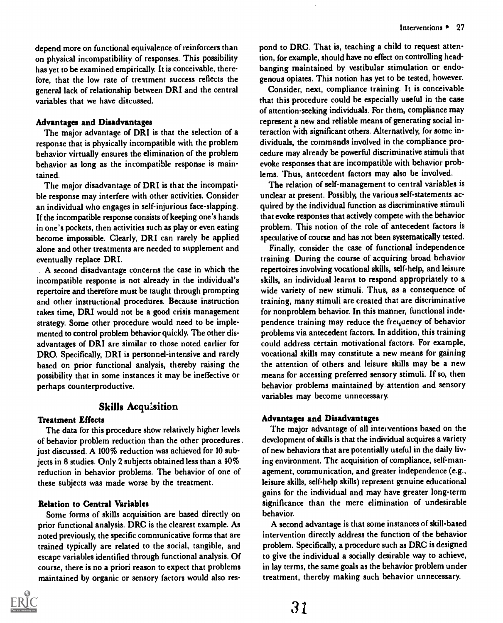depend more on functional equivalence of reinforcers than on physical incompatibility of responses. This possibility has yet to be examined empirically. It is conceivable, therefore, that the low rate of treatment success reflects the general lack of relationship between DRI and the central variables that we have discussed.

#### Advantages and Disadvantages

The major advantage of DRI is that the selection of a response that is physically incompatible with the problem behavior virtually ensures the elimination of the problem behavior as long as the incompatible response is maintained.

The major disadvantage of DRI is that the incompatible response may interfere with other activities. Consider an individual who engages in self-injurious face-slapping. If the incompatible response consists of keeping one's hands in one's pockets, then activities such as play or even eating become impossible. Clearly, DRI can rarely be applied alone and other treatments are needed to supplement and eventually replace DRI.

A second disadvantage concerns the case in which the incompatible response is not already in the individual's repertoire and therefore must be taught through prompting and other instructional procedures. Because instruction takes time, DRI would not be a good crisis management strategy. Some other procedure would need to be implemented to control problem behavior quickly. The other disadvantages of DRI are similar to those noted earlier for DRO. Specifically, DRI is personnel-intensive and rarely based on prior functional analysis, thereby raising the possibility that in some instances it may be ineffective or perhaps counterproductive.

### Skills Acquisition

#### Treatment Effects

The data for this procedure show relatively higher levels of behavior problem reduction than the other procedures . just discussed. A 100% reduction was achieved for 10 subjects in 8 studies. Only 2 subjects obtained less than a 40% reduction in behavior problems. The behavior of one of these subjects was made worse by the treatment.

#### Relation to Central Variables

Some forms of skills acquisition are based directly on prior functional analysis. DRC is the clearest example. As noted previously, the specific communicative forms that are trained typically are related to the social, tangible, and escape variables identified through functional analysis. Of course, there is no a priori reason to expect that problems maintained by organic or sensory factors would also res-



pond to DRC. That is, teaching a child to request attention, for example, should have no effect on controlling headbanging maintained by vestibular stimulation or endogenous opiates. This notion has yet to be tested, however.

Consider, next, compliance training. It is conceivable that this procedure could be especially useful in the case of attention-seeking individuals. For them, compliance may represent a new and reliable means of generating social interaction with significant others. Alternatively, for some individuals, the commands involved in the compliance procedure may already be powerful discriminative stimuli that evoke responses that are incompatible with behavior problems. Thus, antecedent factors may also be involved.

The relation of self-management to central variables is unclear at present. Possibly, the various self-statements acquired by the individual function as discriminative stimuli that evoke responses that actively compete with the behavior problem. This notion of the role of antecedent factors is speculative of course and has not been systematically tested.

Finally, consider the case of functional independence training. During the course of acquiring broad behavior repertoires involving vocational skills, self-help, and leisure skills, an individual learns to respond appropriately to a wide variety of new stimuli. Thus, as a consequence of training, many stimuli are created that are discriminative for nonproblem behavior. In this manner, functional independence training may reduce the frequency of behavior problems via antecedent factors. In addition, this training could address certain motivational factors. For example, vocational skills may constitute a new means for gaining the attention of others and leisure skills may be a new means for accessing preferred sensory stimuli. If so, then behavior problems maintained by attention and sensory variables may become unnecessary.

#### Advantages and Disadvantages

The major advantage of all interventions based on the development of skills is that the individual acquires a variety of new behaviors that are potentially useful in the daily living environment. The acquisition of compliance, self-management, communication, and greater independence (e.g., leisure skills, self-help skills) represent genuine educational gains for the individual and may have greater long-term significance than the mere elimination of undesirable behavior.

A second advantage is that some instances of skill-based intervention directly address the function of the behavior problem. Specifically, a procedure such as DRC is designed to give the individual a socially desirable way to achieve, in lay terms, the same goals as the behavior problem under treatment, thereby making such behavior unnecessary.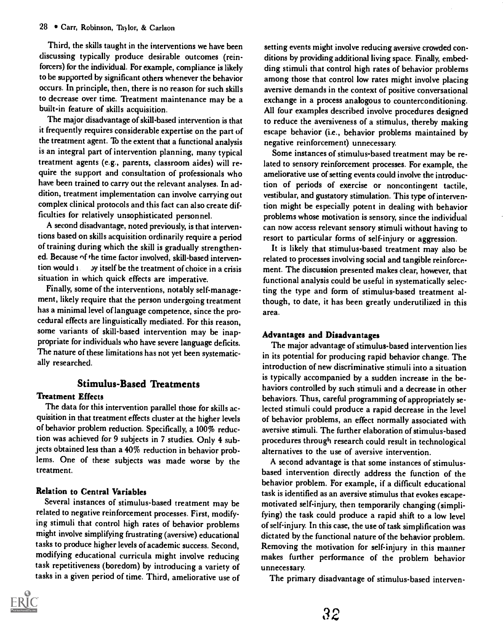Third, the skills taught in the interventions we have been discussing typically produce desirable outcomes (reinforcers) for the individual. For example, compliance is likely to be supported by significant others whenever the behavior occurs. In principle, then, there is no reason for such skills to decrease over time. Treatment maintenance may be a built-in feature of skills acquisition.

The major disadvantage of skill-based intervention is that it frequently requires considerable expertise on the part of the treatment agent. To the extent that a functional analysis is an integral part of intervention planning, many typical treatment agents (e.g., parents, classroom aides) will require the support and consultation of professionals who have been trained to carry out the relevant analyses. In addition, treatment implementation can involve carrying out complex clinical protocols and this fact can also create difficulties for relatively unsophisticated personnel.

A second disadvantage, noted previously, is that interventions based on skills acquisition ordinarily require a period of training during which the skill is gradually strengthened. Because of the time factor involved, skill-based intervention would i y itself be the treatment of choice in a crisis situation in which quick effects are imperative.

Finally, some of the interventions, notably self-management, likely require that the person undergoing treatment has a minimal level of language competence, since the procedural effects are linguistically mediated. For this reason, some variants of skill-based intervention may be inappropriate for individuals who have severe language deficits. The nature of these limitations has not yet been systematically researched.

# Stimulus-Based Treatments

#### Treatment Effects

The data for this intervention parallel those for skills acquisition in that treatment effects cluster at the higher levels of behavior problem reduction. Specifically, a 100% reduction was achieved for 9 subjects in 7 studies. Only 4 subjects obtained less than a 40% reduction in behavior problems. One of these subjects was made worse by the treatment.

#### Relation to Central Variables

Several instances of stimulus-based treatment may be related to negative reinforcement processes. First, modifying stimuli that control high rates of behavior problems might involve simplifying frustrating (aversive) educational tasks to produce higher levels of academic success. Second, modifying educational curricula might involve reducing task repetitiveness (boredom) by introducing a variety of tasks in a given period of time. Third, ameliorative use of

setting events might involve reducing aversive crowded conditions by providing additional living space. Finally, embedding stimuli that control high rates of behavior problems among those that control low rates might involve placing aversive demands in the context of positive conversational exchange in a process analogous to counterconditioning. All four examples described involve procedures designed to reduce the aversiveness of a stimulus, thereby making escape behavior (i.e., behavior problems maintained by negative reinforcement) unnecessary.

Some instances of stimulus-based treatment may be related to sensory reinforcement processes. For example, the ameliorative use of setting events could involve the introduction of periods of exercise or noncontingent tactile, vestibular, and gustatory stimulation. This type of intervention might be especially potent in dealing with behavior problems whose motivation is sensory, since the individual can now access relevant sensory stimuli without having to resort to particular forms of self-injury or aggression.

It is likely that stimulus-based treatment may also be related to processes involving social and tangible reinforcement. The discussion presented makes clear, however, that functional analysis could be useful in systematically selecting the type and form of stimulus-based treatment although, to date, it has been greatly underutilized in this area.

### Advantages and Disadvantages

The major advantage of stimulus-based intervention lies in its potential for producing rapid behavior change. The introduction of new discriminative stimuli into a situation is typically accompanied by a sudden increase in the behaviors controlled by such stimuli and a decrease in other behaviors. Thus, careful programming of appropriately selected stimuli could produce a rapid decrease in the level of behavior problems, an effect normally associated with aversive stimuli. The further elaboration of stimulus-based procedures through research could result in technological alternatives to the use of aversive intervention.

A second advantage is that some instances of stimulusbased intervention directly address the function of the behavior problem. For example, if a difficult educational task is identified as an aversive stimulus that evokes escapemotivated self-injury, then temporarily changing (simplifying) the task could produce a rapid shift to a low level of self-injury. In this case, the use of task simplification was dictated by the functional nature of the behavior problem. Removing the motivation for self-injury in this manner makes further performance of the problem behavior unnecessary.

The primary disadvantage of stimulus-based interven-

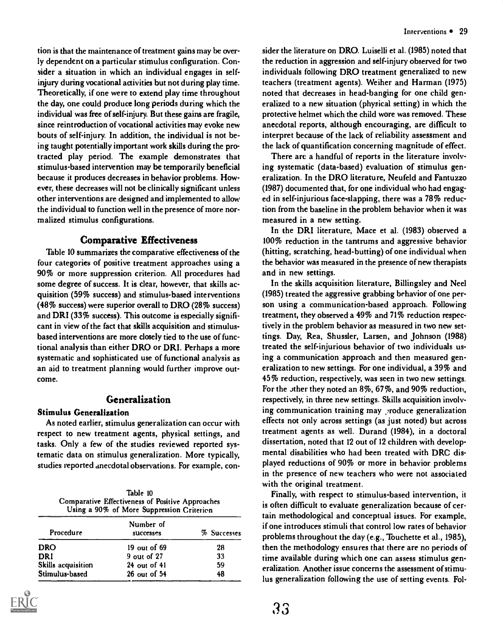tion is that the maintenance of treatment gains may be overly dependent on a particular stimulus configuration. Consider a situation in which an individual engages in selfinjury during vocational activities but not during play time. Theoretically, if one were to extend play time throughout the day, one could produce long periods during which the individual was free of self-injury. But these gains are fragile, since reintroduction of vocational activities may evoke new bouts of self-injury. In addition, the individual is not being taught potentially important work skills during the protracted play period. The example demonstrates that stimulus-based intervention may be temporarily beneficial because it produces decreases in behavior problems. However, these decreases will not be clinically significant unless other interventions are designed and implemented to allow the individual to function well in the presence of more normalized stimulus configurations.

# Comparative Effectiveness

Table 10 summarizes the comparative effectiveness of the four categories of positive treatment approaches using a 90% or more suppression criterion. All procedures had some degree of success. It is clear, however, that skills acquisition (59% success) and stimulus-based interventions (48% success) were superior overall to DRO (28% success) and DRI (33% success). This outcome is especially significant in view of the fact that skills acquisition and stimulusbased interventions are more closely tied to the use of functional analysis than either DRO or DRI. Perhaps a more systematic and sophisticated use of functional analysis as an aid to treatment planning would further improve outcome.

# Generalization

### Stimulus Generalization

As noted earlier, stimulus generalization can occur with respect to new treatment agents, physical settings, and tasks. Only a few of the studies reviewed reported systematic data on stimulus generalization. More typically, studies reported anecdotal observations. For example, con-

| Table 10                                         |
|--------------------------------------------------|
| Comparative Effectiveness of Positive Approaches |
| Using a 90% of More Suppression Criterion        |

| Procedure          | Number of<br>successes | % Successes |
|--------------------|------------------------|-------------|
| <b>DRO</b>         | 19 out of 69           | 28          |
| DRI                | 9 out of 27            | 33          |
| Skills acquisition | $24$ out of $41$       | 59          |
| Stimulus-based     | 26 out of 54           | 48          |
|                    |                        |             |

sider the literature on DRO. Luiselli et al. (1985) noted that the reduction in aggression and self-injury observed for two individuals following DRO treatment generalized to new teachers (treatment agents). Weiher and Harman (1975) noted that decreases in head-banging for one child generalized to a new situation (physical setting) in which the protective helmet which the child wore was removed. These anecdotal reports, although encouraging, are difficult to interpret because of the lack of reliability assessment and the lack of quantification concerning magnitude of effect.

There are a handful of reports in the literature involving systematic (data-based) evaluation of stimulus generalization. In the DRO literature, Neufeld and Fantuzzo (1987) documented that, for one individual who had engaged in self-injurious face-slapping, there was a 78% reduction from the baseline in the problem behavior when it was measured in a new setting.

In the DRI literature, Mace et al. (1983) observed a 100% reduction in the tantrums and aggressive behavior (hitting, scratching, head-butting) of one individual when the behavior was measured in the presence of new therapists and in new settings.

In the skills acquisition literature, Billingsley and Neel (1985) treated the aggressive grabbing behavior of one person using a communication-based approach. Following treatment, they observed a 49% and 71% reduction respectively in the problem behavior as measured in two new settings. Day, Rea, Shussler, Larsen, and Johnson (1988) treated the self-injurious behavior of two individuals using a communication approach and then measured generalization to new settings. For one individual, a 39% and 45% reduction, respectively, was seen in two new settings. For the other they noted an 8%, 67%, and 90% reduction, respectively, in three new settings. Skills acquisition involving communication training may roduce generalization effects not only across settings (as just noted) but across treatment agents as well. Durand (1984), in a doctoral dissertation, noted that 12 out of 12 children with developmental disabilities who had been treated with DRC displayed reductions of 90% or more in behavior problems in the presence of new teachers who were not associated with the original treatment.

Finally, with respect to stimulus-based intervention, it is often difficult to evaluate generalization because of certain methodological and conceptual issues. For example, if one introduces stimuli that control low rates of behavior problems throughout the day (e.g., Touchette et al., 1985), then the methodology ensures that there are no periods of time available during which one can assess stimulus generalization. Another issue concerns the assessment of stimulus generalization following the use of setting events. Fol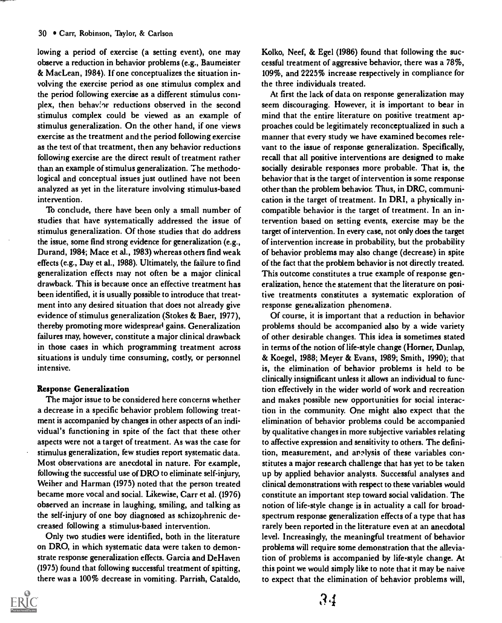lowing a period of exercise (a setting event), one may observe a reduction in behavior problems (e.g., Baumeister & MacLean, 1984). If one conceptualizes the situation involving the exercise period as one stimulus complex and the period following exercise as a different stimulus complex, then behavior reductions observed in the second stimulus complex could be viewed as an example of stimulus generalization. On the other hand, if one views exercise as the treatment and the period following exercise as the test of that treatment, then any behavior reductions following exercise are the direct result of treatment rather than an example of stimulus generalization. The methodological and conceptual issues just outlined have not been analyzed as yet in the literature involving stimulus-based intervention.

To conclude, there have been only a small number of studies that have systematically addressed the issue of stimulus generalization. Of those studies that do address the issue, some find strong evidence for generalization (e.g., Durand, 1984; Mace et al., 1983) whereas others find weak effects (e.g., Day et al., 1988). Ultimately, the failure to find generalization effects may not often be a major clinical drawback. This is because once an effective treatment has been identified, it is usually possible to introduce that treatment into any desired situation that does not already give evidence of stimulus generalization (Stokes & Baer, 1977), thereby promoting more widespread gains. Generalization failures may, however, constitute a major clinical drawback in those cases in which programming treatment across situations is unduly time consuming, costly, or personnel intensive.

#### Response Generalization

The major issue to be considered here concerns whether a decrease in a specific behavior problem following treatment is accompanied by changes in other aspects of an individual's functioning in spite of the fact that these other aspects were not a target of treatment. As was the case for stimulus generalization, few studies report systematic data. Most observations are anecdotal in nature. For example, following the successful use of DRO to eliminate self-injury, Weiher and Harman (1975) noted that the person treated became more vocal and social. Likewise, Carr et al. (1976) observed an increase in laughing, smiling, and talking as the self-injury of one boy diagnosed as schizophrenic decreased following a stimulus-based intervention.

Only two studies were identified, both in the literature on DRO, in which systematic data were taken to demonstrate response generalization effects. Garcia and DeHaven (1975) found that following successful treatment of spitting, there was a 100% decrease in vomiting. Parrish, Cataldo,



Kolko, Neef, & Egel (1986) found that following the successful treatment of aggressive behavior, there was a 78%, 109%, and 2225% increase respectively in compliance for the three individuals treated.

At first the lack of data on response generalization may seem discouraging. However, it is important to bear in mind that the entire literature on positive treatment approaches could be legitimately reconceptualized in such a manner that every study we have examined becomes relevant to the issue of response generalization. Specifically, recall that all positive interventions are designed to make socially desirable responses more probable. That is, the behavior that is the target of intervention is some response other than the problem behavior. Thus, in DRC, communication is the target of treatment. In DRI, a physically incompatible behavior is the target of treatment. In an intervention based on setting events, exercise may be the target of intervention. In every case, not only does the target of intervention increase in probability, but the probability of behavior problems may also change (decrease) in spite of the fact that the problem behavior is not directly treated. This outcome constitutes a true example of response generalization, hence the statement that the literature on positive treatments constitutes a systematic exploration of response gene; alization phenomena.

Of course, it is important that a reduction in behavior problems should be accompanied also by a wide variety of other desirable changes. This idea is sometimes stated in terms of the notion of life-style change (Homer, Dunlap, & Koegel, 1988; Meyer & Evans, 1989; Smith, 1990); that is, the elimination of behavior problems is held to be clinically insignificant unless it allows an individual to function effectively in the wider world of work and recreation and makes possible new opportunities for social interaction in the community. One might also expect that the elimination of behavior problems could be accompanied by qualitative changes in more subjective variables relating to affective expression and sensitivity to others. The definition, measurement, and analysis of these variables constitutes a major research challenge that has yet to be taken up by applied behavior analysts. Successful analyses and clinical demonstrations with respect to these variables would constitute an important step toward social validation. The notion of life-style change is in actuality a call for broadspectrum response generalization effects of a type that has rarely been reported in the literature even at an anecdotal level. Increasingly, the meaningful treatment of behavior problems will require some demonstration that the alleviation of problems is accompanied by life-style change. At this point we would simply like to note that it may be naive to expect that the elimination of behavior problems will,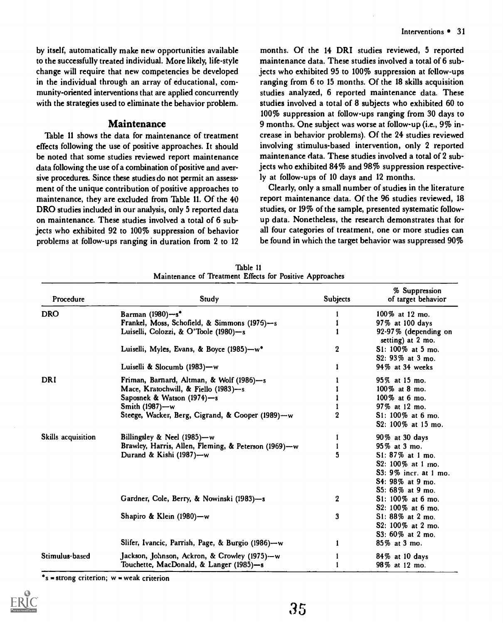by itself, automatically make new opportunities available to the successfully treated individual. More likely, life-style change will require that new competencies be developed in the individual through an array of educational, community-oriented interventions that are applied concurrently with the strategies used to eliminate the behavior problem.

#### Maintenance

Table 11 shows the data for maintenance of treatment effects following the use of positive approaches. It should be noted that some studies reviewed report maintenance data following the use of a combination of positive and aversive procedures. Since these studies do not permit an assessment of the unique contribution of positive approaches to maintenance, they are excluded from Table 11. Of the 40 DRO studies included in our analysis, only 5 reported data on maintenance. These studies involved a total of 6 subjects who exhibited 92 to 100% suppression of behavior problems at follow-ups ranging in duration from 2 to 12

months. Of the 14 DRI studies reviewed, 5 reported maintenance data. These studies involved a total of 6 subjects who exhibited 95 to 100% suppression at fellow-ups ranging from 6 to 15 months. Of the 18 skills acquisition studies analyzed, 6 reported maintenance data. These studies involved a total of 8 subjects who exhibited 60 to 100% suppression at follow-ups ranging from 30 days to 9 months. One subject was worse at follow-up (i.e., 9% increase in behavior problems). Of the 24 studies reviewed involving stimulus-based intervention, only 2 reported maintenance data. These studies involved a total of 2 subjects who exhibited 84% and 98% suppression respectively at follow-ups of 10 days and 12 months.

Clearly, only a small number of studies in the literature report maintenance data. Of the 96 studies reviewed, 18 studies, or 19% of the sample, presented systematic followup data. Nonetheless, the research demonstrates that for all four categories of treatment, one or more studies can be found in which the target behavior was suppressed 90%

| Procedure          | Study                                                | <b>Subjects</b> | % Suppression<br>of target behavior       |
|--------------------|------------------------------------------------------|-----------------|-------------------------------------------|
| <b>DRO</b>         | Barman (1980)-s*                                     |                 | 100% at 12 mo.                            |
|                    | Frankel, Moss, Schofield, & Simmons (1976)-s         |                 | 97% at 100 days                           |
|                    | Luiselli, Colozzi, & O'Toole (1980)—s                |                 | 92-97% (depending on<br>setting) at 2 mo. |
|                    | Luiselli, Myles, Evans, & Boyce (1985)-w*            | 2               | S1: 100% at 5 mo.<br>S2: 93% at 3 mo.     |
|                    | Luiselli & Slocumb (1983)-w                          |                 | 94% at 34 weeks                           |
| DRI                | Friman, Barnard, Altman, & Wolf (1986)-s             |                 | 95% at 15 mo.                             |
|                    | Mace, Kratochwill, & Fiello (1983)-s                 |                 | 100% at 8 mo.                             |
|                    | Saposnek & Watson (1974)-s                           |                 | 100% at 6 mo.                             |
|                    | Smith (1987)-w                                       |                 | 97% at 12 mo.                             |
|                    | Steege, Wacker, Berg, Cigrand, & Cooper (1989)-w     | $\mathbf 2$     | S1: 100% at 6 mo.<br>S2: 100% at 15 mo.   |
| Skills acquisition | Billingsley & Neel $(1985)$ —w                       |                 | 90% at 30 days                            |
|                    | Brawley, Harris, Allen, Fleming, & Peterson (1969)-w |                 | 95% at 3 mo.                              |
|                    | Durand & Kishi (1987)-w                              | 5               | S1: 87% at 1 mo.                          |
|                    |                                                      |                 | S2: 100\% at 1 mo.                        |
|                    |                                                      |                 | S3: 9% incr. at 1 mo.                     |
|                    |                                                      |                 | S4: 98% at 9 mo.                          |
|                    |                                                      |                 | S5: 68% at 9 mo.                          |
|                    | Gardner, Cole, Berry, & Nowinski (1983)-s            | 2               | S1: 100% at 6 mo.                         |
|                    |                                                      |                 | S2: 100% at 6 mo.                         |
|                    | Shapiro & Klein (1980)-w                             | 3               | S1: 88% at 2 mo.                          |
|                    |                                                      |                 | S2: 100% at 2 mo.                         |
|                    |                                                      |                 | S3: 60% at 2 mo.                          |
|                    | Slifer, Ivancic, Parrish, Page, & Burgio (1986)--w   |                 | 85% at 3 mo.                              |
| Stimulus-based     | Jackson, Johnson, Ackron, & Crowley (1975)--w        |                 | 84% at 10 days                            |
|                    | Touchette, MacDonald, & Langer (1985)-s              |                 | 98% at 12 mo.                             |

Table 11 Maintenance of Treatment Effects for Positive Approaches

 $s =$ strong criterion; w = weak criterion

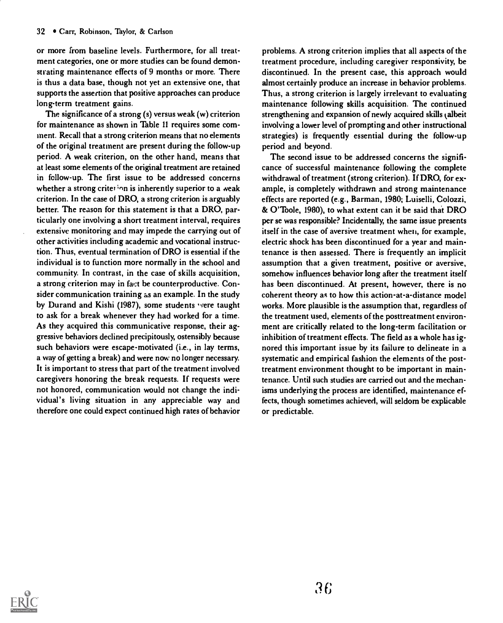or more from baseline levels. Furthermore, for all treatment categories, one or more studies can be found demonstrating maintenance effects of 9 months or more. There is thus a data base, though not yet an extensive one, that supports the assertion that positive approaches can produce long-term treatment gains.

The significance of a strong (s) versus weak (w) criterion for maintenance as shown in Table 11 requires some comment. Recall that a strong criterion means that no elements of the original treatment are present during the follow-up period. A weak criterion, on the other hand, means that at least some elements of the original treatment are retained in follow-up. The first issue to be addressed concerns whether a strong criter inn is inherently superior to a weak criterion. In the case of DRO, a strong criterion is arguably better. The reason for this statement is that a DRO, particularly one involving a short treatment interval, requires extensive monitoring and may impede the carrying out of other activities including academic and vocational instruction. Thus, eventual termination of DRO is essential if the individual is to function more normally in the school and community. In contrast, in the case of skills acquisition, a strong criterion may in fact be counterproductive. Consider communication training as an example. In the study by Durand and Kishi (1987), some students were taught to ask for a break whenever they had worked for a time. As they acquired this communicative response, their aggressive behaviors declined precipitously, ostensibly because such behaviors were escape-motivated (i.e., in lay terms, a way of getting a break) and were now no longer necessary. It is important to stress that part of the treatment involved caregivers honoring the break requests. If requests were not honored, communication would not change the individual's living situation in any appreciable way and therefore one could expect continued high rates of behavior

problems. A strong criterion implies that all aspects of the treatment procedure, including caregiver responsivity, be discontinued. In the present case, this approach would almost certainly produce an increase in behavior problems. Thus, a strong criterion is largely irrelevant to evaluating maintenance following skills acquisition. The continued strengthening and expansion of newly acquired skills (albeit involving a lower level of prompting and other instructional strategies) is frequently essential during the follow-up period and beyond.

The second issue to be addressed concerns the significance of successful maintenance following the complete withdrawal of treatment (strong criterion). If DRO, for example, is completely withdrawn and strong maintenance effects are reported (e.g., Barman, 1980; Luiselli, Colozzi, & O'Toole, 1980), to what extent can it be said that DRO per se was responsible? Incidentally, the same issue presents itself in the case of aversive treatment when, for example, electric shock has been discontinued for a year and maintenance is then assessed. There is frequently an implicit assumption that a given treatment, positive or aversive, somehow influences behavior long after the treatment itself has been discontinued. At present, however, there is no coherent theory as to how this action-at-a-distance model works. More plausible is the assumption that, regardless of the treatment used, elements of the posttreatment environment are critically related to the long-term facilitation or inhibition of treatment effects. The field as a whole has ignored this important issue by its failure to delineate in a systematic and empirical fashion the elements of the posttreatment environment thought to be important in maintenance. Until such studies are carried out and the mechanisms underlying the process are identified, maintenance effects, though sometimes achieved, will seldom be explicable or predictable.

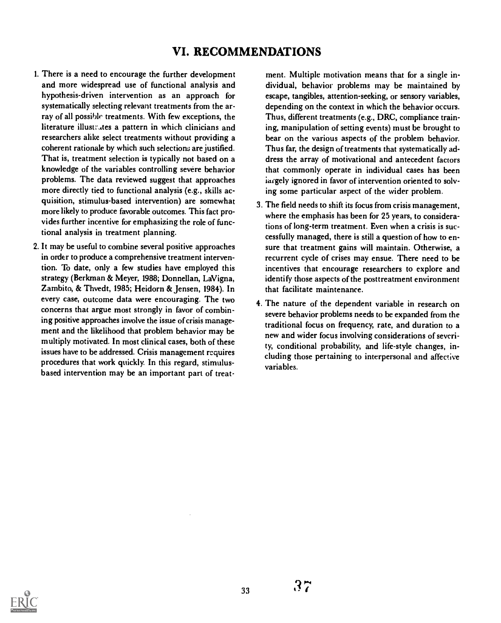# VI. RECOMMENDATIONS

- 1. There is a need to encourage the further development and more widespread use of functional analysis and hypothesis-driven intervention as an approach for systematically selecting relevant treatments from the array of all possible treatments. With few exceptions, the literature illustrates a pattern in which clinicians and researchers alike select treatments without providing a coherent rationale by which such selections are justified. That is, treatment selection is typically not based on a knowledge of the variables controlling severe behavior problems. The data reviewed suggest that approaches more directly tied to functional analysis (e.g., skills acquisition, stimulus-based intervention) are somewhat more likely to produce favorable outcomes. This fact provides further incentive for emphasizing the role of functional analysis in treatment planning.
- 2. It may be useful to combine several positive approaches in order to produce a comprehensive treatment intervention. To date, only a few studies have employed this strategy (Berkman & Meyer, 1988; Donnellan, LaVigna, Zambito, & Thvedt, 1985; Heidorn & Jensen, 1984). In every case, outcome data were encouraging. The two concerns that argue most strongly in favor of combining positive approaches involve the issue of crisis management and the likelihood that problem behavior may be multiply motivated. In most clinical cases, both of these issues have to be addressed. Crisis management requires procedures that work quickly. In this regard, stimulusbased intervention may be an important part of treat-

ment. Multiple motivation means that for a single individual, behavior problems may be maintained by escape, tangibles, attention-seeking, or sensory variables, depending on the context in which the behavior occurs. Thus, different treatments (e.g., DRC, compliance training, manipulation of setting events) must be brought to bear on the various aspects of the problem behavior. Thus far, the design of treatments that systematically address the array of motivational and antecedent factors that commonly operate in individual cases has been iargely ignored in favor of intervention oriented to solving some particular aspect of the wider problem.

- 3. The field needs to shift its focus from crisis management, where the emphasis has been for 25 years, to considerations of long-term treatment. Even when a crisis is successfully managed, there is still a question of how to ensure that treatment gains will maintain. Otherwise, a recurrent cycle of crises may ensue. There need to be incentives that encourage researchers to explore and identify those aspects of the posttreatment environment that facilitate maintenance.
- 4. The nature of the dependent variable in research on severe behavior problems needs to be expanded from the traditional focus on frequency, rate, and duration to a new and wider focus involving considerations of severity, conditional probability, and life-style changes, including those pertaining to interpersonal and affective variables.

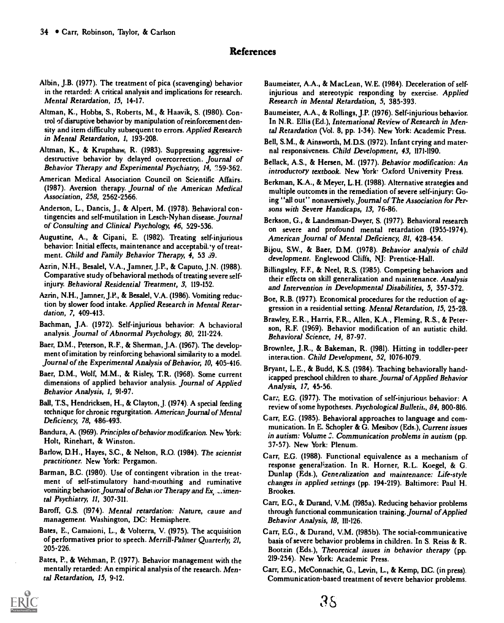# References

- Albin, J.B. (1977). The treatment of pica (scavenging) behavior in the retarded: A critical analysis and implications for research. Mental Retardation, 15, 14-17.
- Altman, K., Hobbs, S., Roberts, M., & Haavik, S. (1980). Control of disruptive behavior by manipulation of reinforcement density and item difficulty subsequent to errors. Applied Research in Mental Retardation, 1, 193-208.
- Altman, K., & Krupshaw, R. (1983). Suppressing aggressivedestructive behavior by delayed overcorrection. Journal of Behavior Therapy and Experimental Psychiatry, 14, 359-362.
- American Medical Association Council on Scientific Affairs. (1987). Aversion therapy. Journal of the American Medical Association, 258, 2562-2566.
- Anderson, L., Dancis, J., & Alpert, M. (1978). Behavioral contingencies and self-mutilation in Lesch-Nyhan disease. Journal of Consulting and Clinical Psychology, 46, 529-536.
- Augustine, A., & Cipani, E. (1982). Treating self-injurious behavior: Initial effects, maintenance and acceptabil.'y of treatment. Child and Family Behavior Therapy, 4, 53 59.
- Azrin, N.H., Besalel, V.A., Jamner, J.P., & Caputo, J.N. (1988). Comparative study of behavioral methods of treating severe selfinjury. Behavioral Residential Treatment, 3, 119-152.
- Azrin, N.H., Jamner, J.P., & Besalel, V.A. (1986). Vomiting reduction by slower food intake. Applied Research in Mental Retardation, 7, 409-413.
- Bachman, J.A. (1972). Self-injurious behavior: A bchavioral analysis. Journal of Abnormal Psychology, 80, 211-224.
- Baer, D.M., Peterson, R.F., & Sherman, J.A. (1967). The development of imitation by reinforcing behavioral similarity to a model. Journal of the Experimental Analysis of Behavior, 10, 405-416.
- Baer, D.M., Wolf, M.M., & Risley, T.R. (1968). Some current dimensions of applied behavior analysis. Journal of Applied Behavior Analysis, 1, 91-97.
- Ball, T.S., Hendricksen, H., & Clayton, J. (1974). A special feeding technique for chronic regurgitation. American Journal of Mental Deficiency, 78, 486-493.
- Bandura, A. (1969). Principles of behavior modification. New York: Holt, Rinehart, & Winston.
- Barlow, D.H., Hayes, S.C., & Nelson, R.O. (1984). The scientist practitioner. New York: Pergamon.
- Barman, B.C. (1980), Use of contingent vibration in the treatment of self-stimulatory hand-mouthing and ruminative vomiting behavior. Journal of Behavior Therapy and Ex, ... imental Psychiatry, 11, 307-311.
- Baroff, G.S. (1974). Mental retardation: Nature, cause and management. Washington, DC: Hemisphere.
- Bates, E., Camaioni, L., & Volterra, V. (1975). The acquisition of performatives prior to speech. Merrill-Palmer Quarterly, 21, 205-226.
- Bates, P., & Wehman, P. (1977). Behavior management with the mentally retarded: An empirical analysis of the research. Mental Retardation, 15, 9-12.
- Baumeister, A.A., & MacLean, W.E. (1984). Deceleration of selfinjurious and stereotypic responding by exercise. Applied Research in Mental Retardation, 5, 385-393.
- Baumeister, A.A., & Rollings, J.P. (1976). Self-injurious behavior. In N.R. Ellis (Ed.), International Review of Research in Mental Retardation (Vol. 8, pp. 1-34). New York: Academic Press.
- Bell, S.M., & Ainsworth, M.D.S. (1972). Infant crying and maternal responsiveness. Child Development, 43, 1171-1190.
- Bellack, A.S., & Hersen, M. (1977). Behavior modification: An introductory textbook. New York: Oxford University Press.
- Berkman, K.A., & Meyer, L.H. (1988). Alternative strategies and multiple outcomes in the remediation of severe self-injury: Going "all out" nonaversively. Journal of The Association for Persons with Severe Handicaps, 13, 76-86.
- Berkson, G., & Landesman-Dwyer, S. (1977). Behavioral research on severe and profound mental retardation (1955-1974). American Journal of Mental Deficiency, 81, 428-454.
- Bijou, S.W., & Baer, D.M. (1978). Behavior analysis of child development. Englewood Cliffs, NJ: Prentice-Hall.
- Billingsley, F.F., & Neel, R.S. (1985). Competing behaviors and their effects on skill generalization and maintenance. Analysis and Intervention in Developmental Disabilities, 5, 357-372.
- Boe, R.B. (1977). Economical procedures for the reduction of aggression in a residential setting. Mental Retardation, 15, 25-28.
- Brawley, E.R., Harris, ER., Allen, K.A., Fleming, R.S., & Peterson, R.F. (1969). Behavior modification of an autistic child. Behavioral Science, 14, 87-97.
- Brownlee, J.R., & Bakeman, R. (1981). Hitting in toddler-peer interattion. Child Development, 52, 1076-1079.
- Bryant, L.E., & Budd, K.S. (1984). Teaching behaviorally handicapped preschool children to share. Journal of Applied Behavior Analysis, 17, 45-56.
- Car:, E.G. (1977). The motivation of self-injurious behavior: A review of some hypotheses. Psychological Bulletit., 84, 800-816.
- Carr, E.G. (1985). Behavioral approaches to language and communication. In E. Schopler & G. Mesibov (Eds.), Current issues in autism: Volume 3. Communication problems in autism (pp. 37-57). New York: Plenum.
- Carr, E.G. (1988). Functional equivalence as a mechanism of response generalization. In R. Horner, R.L. Koegel, & G. Dunlap (Eds.), Generalization and maintenance: Life-style changes in applied settings (pp. 194-219). Baltimore: Paul H. Brookes.
- Carr, E.G., & Durand, V.M. (1985a). Reducing behavior problems through functional communication training.Journal of Applied Behavior Analysis, 18, 111-126.
- Carr, E.G., & Durand, V.M. (19856). The social-communicative basis of severe behavior problems in children. In S. Reiss & R. Bootzin (Eds.), Theoretical issues in behavior therapy (pp. 219-254). New York: Academic Press.
- Carr, E.G., McConnachie, G., Levin, L., & Kemp, D.C. (in press). Communication-based treatment of severe behavior problems.

 $35$ 

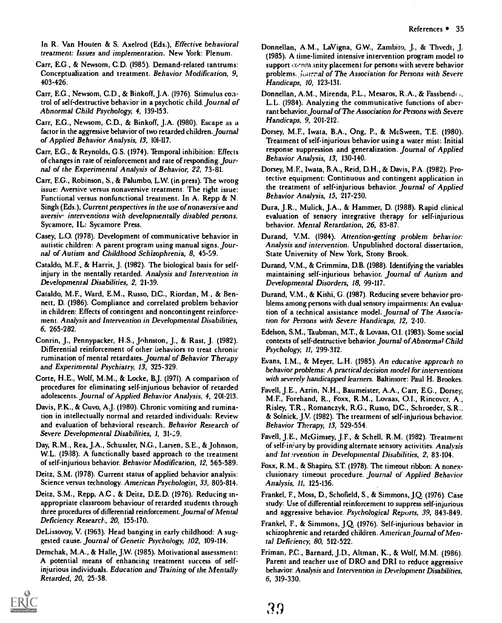In R. Van Houten & S. Axelrod (Eds.), Effective behavioral treatment: Issues and implementation. New York: Plenum,

Carr, E.G., & Newsom, C.D. (1985). Demand-related tantrums: Conceptualization and treatment. Behavior Modification, 9, 403-426,

Carr, E.G., Newsom, C.D., & Binkoff, J.A. (1976). Stimulus control of self-destructive behavior in a psychotic child. Journal of Abnormal Child Psychology, 4, 139-153,

Carr, E.G., Newsom, C.D., & Binkoff, J.A. (1980). Escape as a factor in the aggressive behavior of two retarded children. Journal of Applied Behavior Analysis, 13, 101-117.

Carr, E.G., & Reynolds, G,S. (1974). Temporal inhibition: Effects of changes in rate of reinforcement and rate of responding.Journal of the Experimental Analysis of Behavior, 22, 73-81.

Carr, E.G., Robinson, S., & Palumbo, L.W. (in press). The wrong issue: Aversive versus nonaversive treatment. The right issue: Functional versus nonfunctional treatment. In A. Repp & N. Singh (Eds.), Current perspectives in the use of nonaversive and aversiv interventions with developmentally disabled persons. Sycamore, IL: Sycamore Press.

Casey, L.O. (1978). Development of communicative behavior in autistic children: A parent program using manual signs. Journal of Autism and Childhood Schizophrenia, 8, 45-59.

Cataldo, M.F., & Harris, J. (1982). The biological basis for selfinjury in the mentally retarded. Analysis and Intervention in Developmental Disabilities, 2, 21-39.

Cataldo, M.F., Ward, E.M., Russo, D.C., Riordan, M., & Bennett, D. (1986). Compliance and correlated problem behavior in children: Effects of contingent and noncontingent reinforcement. Analysis and Intervention in Developmental Disabilities, 6, 265-282.

Conrin, J., Pennypacker, H.S., Johnston, J., & Rast, J. (1982). Differential reinforcement of other behaviors to treat chronic rumination of mental retardates. Journal of Behavior Therapy and Experimental Psychiatry, 13, 325-329.

Corte, H.E., Wolf, M.M., & Locke, B.J. (1971). A comparison of procedures for eliminating self-injurious behavior of retarded adolescents. Journal of Applied Behavior Analysis, 4, 201-213.

Davis, P.K., & Cuvo, A.J. (1980). Chronic vomiting and rumination in intellectually normal and retarded individuals: Review and evaluation of behavioral research. Behavior Research of Severe Developmental Disabilities, 1, 31-09.

Day, R.M., Rea, J.A., Schussler, N.G., Larsen, S.E., & Johnson, W.L. (1938). A functionally based approach to the treatment of self-injurious behavior. Behavior Modification, 12, 565-589.

Deitz, S.M. (1978). Current status of applied behavior analysis: Science versus technology. American Psychologist, 33, 805-814.

Deitz, S.M., Repp, A.C., & Deitz, D.E.D. (1976). Reducing inappropriate classroom behaviour of retarded students through three procedures of differential reinforcement. Journal of Mental Deficiency Researck, 20, 155-170.

DeLissovoy, V. (1963). Head banging in early childhood: A suggested cause. Journal of Genetic Psychology, 102, 109-114,

Demchak, M.A., & Halle, J.W. (1985). Motivational assessment: A potential means of enhancing treatment success of selfinjurious individuals. Education and Training of the Mentally Retarded, 20, 25-38.



Donnellan, A.M., LaVigna, G.W., Zambito, J., & Thvedt, J. (1985). A time-limited intensive intervention program model to support community placement for persons with severe behavior problems., ionrral of The Association for Persons with Severe Handicaps, 10, 123-131.

Donnellan, A.M., Mirenda, P.L., Mesaros, R.A., & Fassbend(1, L.L. (1984). Analyzing the communicative functions of aberrant behavior. Journal of The Association for Persons with Severe Handicaps, 9, 201-212,

Dorsey, M.F., Iwata, B.A., Ong, P., & McSween, T.E. (1980). Treatment of self-injurious behavior using a water mist: Initial response suppression and generalization. Journal of Applied Behavior Analysis, 13, 130-140.

Dorsey, M.F., Iwata, B.A., Reid, D.H., & Davis, PA. (1982). Protective equipment: Continuous and contingent application in the treatment of self-injurious behavior. Journal of Applied Behavior Analysis, 15, 217-230.

Dura, J.R., Mulick, J.A., & Hammer, D. (1988). Rapid clinical evaluation of sensory integrative therapy for self-injurious behavior. Mental Retardation, 26, 83-87.

Durand, V.M. (1984). Attention-getting problem behavior: Analysis and intervention. Unpublished doctoral dissertation, State University of New York, Stony Brook.

Durand, V.M., & Crimmins, D.B. (1988). Identifying the variables maintaining self-injurious behavior. Journal of Autism and Developmental Disorders, 18, 99-117.

Durand, V.M., & Kishi, G. (1987). Reducing severe behavior problems among persons with dual sensory impairments: An evaluation of a technical assistance model. Journal of The Association for Persons with Severe Handicaps, 12, 2-10.

Edelson, S.M., Taubman, M.T, & Lovaas, 0.1. (1983). Some social contexts of self-destructive behavior. Journal of Abnormal Child Psychology, 11, 299-312.

Evans, I.M., & Meyer, L.H. (1985). An educative approach to behavior problems: A practical decision model for interventions with severely handicapped learners. Baltimore: Paul H. Brookes,

Favell, J.E., Azrin, N.H., Baumeister, A.A., Carr, E.G., Dorsey, M.F., Forehand, R., Foxx, R.M., Lovaas, 0.1., Rincovcr, A., Risley, T.R., Romanczyk, R.G., Russo, D.C., Schroeder, S.R., & Solnick, J.V. (1982). The treatment of self-injurious behavior. Behavior Therapy, 13, 529-554,

Favell, J.E., McGimsey, J.F, & Schell, R.M. (1982). Treatment of self-injury by providing alternate sensory activities. Analysis and Intervention in Developmental Disabilities, 2, 83-104.

Foxx, R.M., & Shapiro, ST (1978). The timeout ribbon: A nonexclusionary timeout procedure. Journal of Applied Behavior Analysis, 11, 125-136.

Frankel, F., Moss, D., Schofield, S., & Simmons, J.Q (1976). Case study: Use of differential reinforcement to suppress self-injurious and aggressive behavior. Psychological Reports, 39, 843-849.

Frankel, F., & Simmons, J.Q (1976). Self-injurious behavior in schizophrenic and retarded children. American Journal of Mental Deficiency, 80, 512-522.

Friman, P.C., Barnard, J.D., Altman, K., & Wolf, M.M. (1986). Parent and teacher use of DRO and DRI to reduce aggressive behavior. Analysis and Intervention in Development Disabilities, 6, 319-330.

39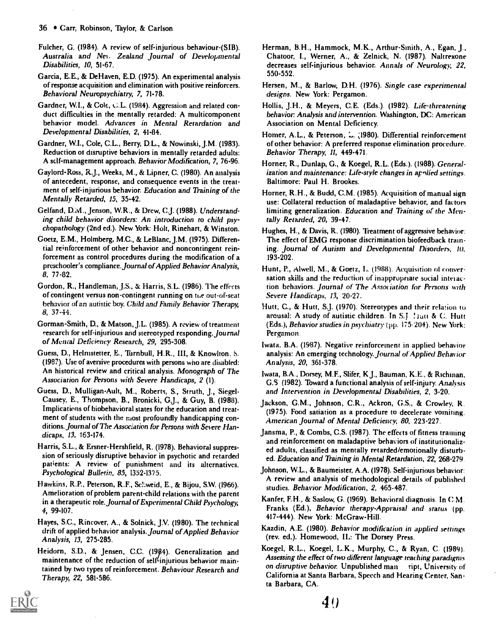- Fulcher, G. (1984). A review of self-injurious behaviour-(SIB). Australia and Nei, Zealand Journal of Developmental Disabilities, 10, 51-67.
- Garcia, E.E., & De Haven, E.D. (1975). An experimental analysis of response acquisition and elimination with positive reinforcers. Behavioral Neuropsychiatry, 7, 71-78.
- Gardner, W.I., & Cole, C.L. (1984). Aggression and related conduct difficulties in the mentally retarded: A multicomponent behavior model. Advances in Mental Retardation and Developmental Disabilities, 2, 41-84.
- Gardner, W.L, Cole, C.L., Berry, D.L., & Nowinski, J.M. (1983). Reduction ot disruptive behaviors in mentally retarded adults: A sdf-management approach. Behavior Modification, 7, 76-96.
- Gaylord-Ross, R. J., Weeks, M., & Lipner, C. (1980). An analysis of antecedent, response, and consequence events in the treatment of self-injurious behavior. Education and Training of the Mentally Retarded, 15, 35-42.
- Gelfand, D.ivl., Jenson, W.R., & Drew, C. J. (1988). Understanding child behavior disorders: An introduction to child psychopathology (2nd ed.). New York: Holt, Rinehart, & Winston.
- Goetz, E.M., Holmberg, M.C., & LeBlanc, J.M. (1975). Differential reinforcement of other behavior and noncontingent reinforcement as control procedures during the modification of a preschooler's compliance.Journal of Applied Behavior Analysis, 8, 77-82.
- Gordon, R., Handleman, J.S., & Harris, S.L. (1986). The effects of contingent versus non-contingent running on the out-of-seat behavior of an autistic boy. Child and Family Behavior Therapy, 8, 37-44.
- Gorman-Smith, D., & Matson, J.L. (1985). A review of treatment research for self-injurious and stereotyped responding.Journal of Mental Deficiency Research, 29, 295-308.
- Guess, D., Helmstetter, E., Turnbull, H.R., III, & Knowlton. S. (1987). Use of aversive procedures with persons who are disabled: An historical review and critical analysis. Monograph of The Association for Persons with Severe Handicaps, 2 (1).
- Guess, D., Mulligan-Ault, M., Roberts, S., Struth, J., Siegel-Causey, E., Thompson, B., Bronicki, & Guy, B. (1988). Implications of biobehavioral states for the education and treatment of students with the most profoundly handicapping conditions.Journal of The Association for Persons with Severe Handicaps, 13, 163-174.
- Harris, S.L., & Ersner-Hershfield, R. (1978). Behavioral suppression of seriously disruptive behavior in psychotic and retarded patients: A review of punishment and its alternatives. Psychological Bulletin, 85, 1352-1375.
- Hawkins, R.P., Peterson, R.F., Schweid, E., & Bijou, S.W. (1966). Amelioration of problem parent-child relations with the parent in a therapeutic role. Journal of Experimental Child Psychology, 4, 99-107.
- Hayes, S.C., Rincover, A., & Solnick, J.V. (1980). The technical drift of applied behavior analysis. Journal of Applied Behavior Analysis, 13, 275-285,
- Heidorn, S.D., & Jensen, C.C. (1984). Generalization and maintenance of the reduction of self<sup>t</sup>injurious behavior maintained by two types of reinforcement. Behaviour Research and Therapy, 22, 581-586.



- Herman, B,H., Hammock, M.K., Arthur-Smith, A., Egan, J., Chatoor, I., Werner, A., & Zelnick, N. (1987). Naltrexone decreases self-injurious behavior. Annals of Neurology, 22, 550-552.
- Hersen, M., & Barlow, D.H. (1976). Single case experimental designs. New York: Pergamon.
- Hollis, J.H., & Meyers, C.E. (Eds.). (1982). Life-threatening behavior: Analysis and intervention. Washington, DC: American Association on Mental Deficiency.
- Homer, A.L, & Peterson, 1980). Differential reinforcement of other behavior: A preferred response dimination procedure. Behavior Therapy, 11, 449-471.
- Horner, R., Dunlap, G., & Koegel, R.L. (Eds.). (1988). Generalization and maintenance: Life-style changes in applied settings. Baltimore: Paul H. Brookes.
- Horner, R.H., & Budd, C.M. (1985). Acquisition of manual sign use: Collateral reduction of maladaptive behavior, and factors limiting generalization. Education and Training of the Mentally Retarded, 20, 39-47.
- Hughes, H., & Davis, R. (1980). Treatment of aggressive behavior: The effect of EMG response discrimination biofeedback training. Journal of Autism and Developmental Disorders, 10. 193-202.
- Hunt, P., Alwell, M., & Goetz, L. (1988). Acquisition of conversation skills and the reduction of inappropriate social interaction behaviors. Journal of The Association for Persons with Severe Handicaps, 13, 20-27.
- Hutt, C., & Hutt, S.J. (1970). Stereotypes and their relation to arousal: A study of autistic children. In S.J. Tratt & C. Hutt (Eds.), Behavior studies in psychiatry (pp. 175.204). New York: Pergamon.
- Iwata. B.A. (1987). Negative reinforcement in applied behavior analysis: An emerging technology. journal of Applied Behavior Analysis, 20, 361-378.
- Iwata, B.A., Domey, M.F., Slifer, KJ., Bauman, K.E., & Richman, G.S (1982). Toward a functional analysis of self-injury. Analysis and Intervention in Developmental Disabilities, 2, 3-20.
- Jackson, G.M., Johnson, C.R., Ackron, G.S., & Crowley, R. (1975). Food satiation as a procedure to decelerate vomiting. American Journal of Mental Deficiency, 80, 223-227.
- Jansma, P., & Combs, C.S. (1987). The effects of fitness training and reinforcement on maladaptive behaviors of institutionalized adults, classified as mentally retarded/emotionally disturbed. Education and 'Raining in Mental Retardation, 22, 268-279.
- Johnson, W.L., & Baumeister, A.A. (1978). Self-injurious behavior: A review and analysis of methodological details of published studies. Behavior Modification, 2, 465-487.
- Kanfer, F.H., & Saslow, G. (1969). Behavioral diagnosis. In C M. Franks (Ed.), Behavior therapy-Appraisal and status (pp. 417-444). New York: McGraw-Hill,
- Kazdin, A.E. (1980). Behavior modification in applied settings (rev. ed,). Homewood, IL: The Dorsey Press.
- Koegel, R.L., Koegel, L.K., Murphy, C., & Ryan, C. (1989). Assessing the effect of two different language teaching paradigms on disruptive behavior. Unpublished man ript, University of California at Santa Barbara, Speech and Hearing Center, Santa Barbara, CA.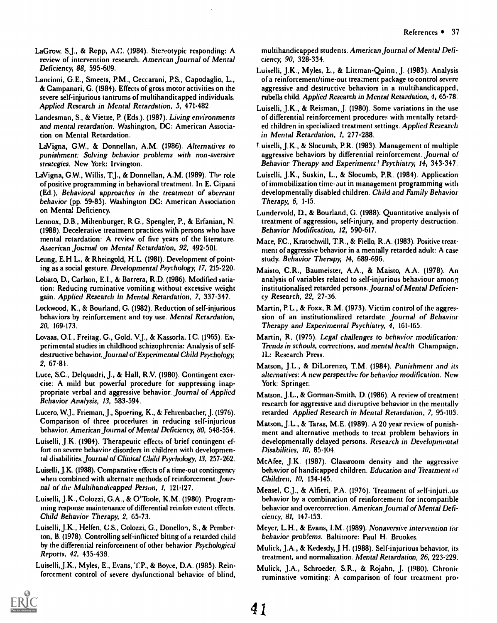- LaGrow, S.J., & Repp, A.C. (1984). Stereotypic responding: A review of intervention research. American Journal of Mental Deficiency, 88, 595-609.
- Lancioni, G.E., Smeets, P.M., Ceccarani, P.S., Capodaglio, L., & Campanari, G. (1984). Effects of gross motor activities on the severe self-injurious tantrums of multihandicapped individuals. Applied Research in Mental Retardation, 5, 471-482.
- Landesman, S., & Vietze, P. (Eds.). (1987). Living environments and mental retardation. Washington, DC: American Association on Mental Retardation.

LaVigna, G.W., & Donnellan, A.M. (1986). Alternatives to punishment: Solving behavior problems with non-aversive strategies. New York: Irvington.

- LaVigna, G.W., Willis, T.J., & Donnellan, A.M. (1989). The role of positive programming in behavioral treatment. In E. Cipani (Ed.), Behavioral approaches in the treatment of aberrant behavior (pp. 59-83). Washington DC: American Association on Menta; Deficiency.
- Lennox, D.B., Miltenburger, R.G., Spengler, P., & Erfanian, N. (1988). Decelerative treatment practices with persons who have mental retardation: A review of five years of the literature. American Journal on Mental Retardation, 92, 492-501.
- Leung, E.H.L., & Rheingold, H.L. (1981). Development of pointing as a social gesture. Developmental Psychology, 17, 215-220.
- Lobato, D., Carlson, E.I., & Barrera, R.D. (1986). Modified satiation: Reducing ruminative vomiting without excessive weight gain. Applied Research in Mental Retardation, 7, 337-347.
- Lockwood, K., & Bourland, G. (1982). Reduction of self-injurious behaviors by reinforcement and toy use. Mental Retardation, 20, 169-173.
- Lovaas, 0.1., Freitag, G., Gold, V.J., & Kassorla, I.C. (1965). Experimental studies in childhood schizophrenia: Analysis of selfdestructive behavior. Journal of Experimental Child Psychology, 2, 67-81.
- Luce, S.C., Delquadri, J., & Hall, R.V. (1980). Contingent exercise: A mild but powerful procedure for suppressing inappropriate verbal and aggressive behavior. Journal of Applied Behavior Analysis, 13, 583-594.
- Luccro, W.J., Frieman, J., Spoering, K., & Fehrenbacher, J. (1976). Comparison of three procedures in reducing self-injurious behavior. American Journal of Mental Deficiency, 80, 548-554.
- Luiselli, J.K. (1984). Therapeutic effects of brief contingent effort on severe behavior disorders in children with developmental disabilities. Journal of Clinical Child Psychology, 13, 257-262.
- Luiselli, J.K. (1988). Comparative effects of a time-out contingency when combined with alternate methods of reinforcement. Journal of the Multihandicapped Person, 1, 121-127.
- Luiselli, J.K., Colozzi, G.A., & O'Toole. K.M. (1980). Programming response maintenance of differential reinforcement effects. Child Behavior Therapy, 2, 65-73.
- Luiselli, J.K., Helfen, C.S., Colozzi, G., Donellon, S., & Pemberton, B. (1978). Controlling self-inflicted biting of a retarded child by the differential reinforcement of other behavior. Psychological Reports, 42, 435-438.
- Luiselli, J.K., Myles, E., Evans, T.P., & Boyce, D.A. (1985). Reinforcement control of severe dysfunctional behavior of blind,

multihandicapped students. American Journal of Mental Deficiency, 90, 328-334.

- Luiselli, J.K., Myles, E., & Littman-Quinn, J. (1983). Analysis of a reinforcement/time-out treatment package to control severe aggressive and destructive behaviors in a multihandicapped, rubella child. Applied Research in Mental Retardation, 4, 65-78.
- Luiselli, J.K., & Reisman, J. (1980). Some variations in the use of differential reinforcement procedures with mentally retarded children in specialized treatment settings. Applied Research in Mental Retardation, 1, 277-288.
- uiselli, J.K., & Slocumb, P.R. (1983). Management of multiple aggressive behaviors by differential reinforcement. Journal of Behavior Therapy and Experimentz! Psychiatry, 14, 343-347.
- Luiselli, J.K., Suskin, L., & Slocumb, P.R. (1984). Application of immobilization time-aut in management programming with developmentally disabled children. Child and Family Behavior Therapy, 6, 1-15.
- Lundervold, D., & Bourland, G. (1988). Quantitative analysis of treatment of aggression, self-injury, and property destruction. Behavior Modification, 12, 590-617.
- Mace, F.C., Kratochwill, TR., & Fiello, R.A. (1983). Positive treatment of aggressive behavior in a mentally retarded adult: A case study. Behavior Therapy, 14, 689-696.
- Maisto, C.R., Baumeister; A.A., & Maisto, A.A. (1978). An analysis of variables related to self-injurious behaviour among institutionalised retarded persons. Journal of Mental Deficiency Research, 22, 27-36.
- Martin, PL., & Foxx, R.M. (1973). Victim control of the aggression of an institutionalized retardate. Journal of Behavior Therapy and Experimental Psychiatry, 4, 161-165.
- Martin, R. (1975). Legal challenges to behavior modification: Trends in schools, corrections, and mental health. Champaign, IL: Research Press.
- Matson, J.L., & DiLorenzo, T.M. (1984). Punishment and its alternatives: A new perspective for behavior modification. New York: Springer.
- Matson, J.L., & Gorman-Smith, D. (1986). A review of treatment research for aggressive and disruptive behavior in the mentally retarded Applied Research in Mental Retardation, 7, 95-103,
- Matson, J.L., & Taras, M.E. (1989). A 20 year review of punishment and alternative methods to treat problem behaviors in developmentally delayed persons. Research in Developmental Disabilities, 10, 85-104.
- McAfee, J.K. (1987). Classroom density and the aggressive behavior of handicapped children. Education and Treatment of Children, 10, 134-145.
- Measel, C. J., & Alfieri, P.A. (1976). Treatment of self-injuri.,us behavior by a combination of reinforcement for incompatible behavior and overcorrection. American Journal of Mental Deficiency; 81, 147-153.
- Meyer, L.H., & Evans, I.M. (1989). Nonaversive intervention for behavior prob!ems. Baltimore: Paul H. Brookes.
- Mulick, J.A., & Kedesdy, J.H. (1988). Self-injurious behavior, its treatment, and normalization. Mental Retardation, 26, 223-229.
- Mulick, J.A., Schroeder, S.R., & Rojahn, J. (1980). Chronic ruminative vomiting: A comparison of four treatment pro-

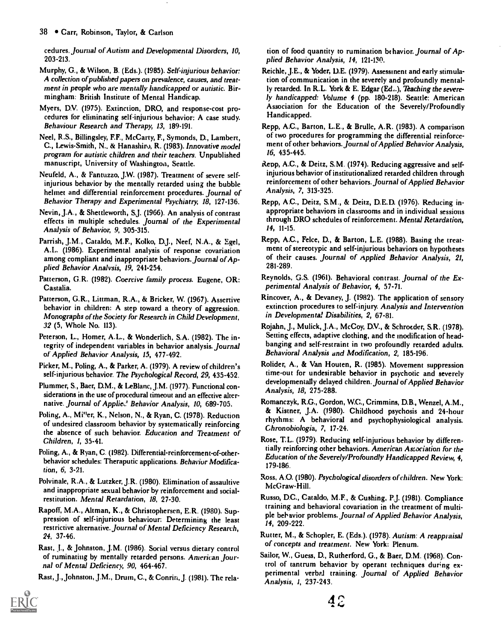#### 38 • Carr, Robinson, Taylor, & Carlson

cedures. journal of Autism and Developmental Disorders, 10, 203-213.

- Murphy, G., & Wilson, B. (Eds.). (1985). Self-injurious behavior: A collection of published papers on prevalence, causes, and treatment in people who are mentally handicapped or autistic. Birmingham: British Institute of Mental Handicap.
- Myers, DV. (1975). Extinction, DRO, and response-cost procedures for eliminating self-injurious behavior: A case study. Behaviour Research and Therapy, 13, 189-191.
- Neel, R.S., Billingsley, F.F., McCarty, F., Symonds, D., Lambert, C., Lewis-Smith, N., & Hanashin), R. (1983). Innovative model program for autistic children and their teachers. Unpublished manuscript, University of Washington, Seattle,
- Neufeld, A., & Fantuzzo, J.W. (1987). Treatment of severe selfinjurious behavior by the mentally retarded using the bubble helmet and differential reinforcement procedures. Journal of Behavior Therapy and Experimental Psychiatry, 18, 127-136.
- Nevin, J.A., & Shettleworth, S.J. (1966). An analysis of contrast effects in multiple schedules, journal of the Experimental Analysis of Behavior, 9, 305-315.
- Parrish, J.M., Cataldo, M.F., Kolko, D.J., Neef, N.A., & Egel, A.L. (1986). Experimental analysis of response covariation among compliant and inappropriate behaviors. journal of Applied Behavior Analysis, 19, 241-254,
- Patterson, G.R. (1982). Coercive family process. Eugene, OR: Castalia.
- Patterson, G.R., Littman, R.A., & Bricker, W. (1967). Assertive behavior in children: A step toward a theory of aggression. Monographs of the Society for Research in Child Development, 32 (5, Whole No, 113).
- Peterson, L., Homer, A.L., & Wonderlich, S.A. (1982). The integrity of independent variables in behavior analysis. journal of Applied Behavior Analysis, 15, 477-492.
- Picker, M., Poling, A., & Parker, A. (1979). A review of children's self-injurious behavior. The Psychological Record, 29, 435-452.
- Plummer, S., Baer, D.M., & LeBlanc, J.M. (1977). Functional considerations in the use of procedural timeout and an effective alternative. Journal of Applie.<sup>1</sup> Behavior Analysis, 10, 689-705.
- Poling, A., Mi"er, K., Nelson, N., & Ryan, C. (1978). Reduction of undesired classroom behavior by systematically reinforcing the absence of such behavior. Education and Treatment of Children, I, 35-41.
- Poling, A., & Ryan, C. (1982). Differential-reinforcement-of-otherbehavior schedules: Theraputic applications. Behavior Modification, 6, 3-21.
- Polvinale, R.A., & Lutzker, J.R. (1980). Elimination of assaultive and inappropriate sexual behavior by reinforcement and socialrestitution. Mental Retardation, 18, 27-30.
- Rapoff, M.A., Altman, K., & Christophersen, E.R. (1980). Suppression of self-injurious behaviour: Determining the least restrictive alternative. journal of Mental Deficiency Research, 24, 37-46.
- Rast, J., & Johnston, J.M. (1986). Social versus dietary control of ruminating by mentally retarded persons. American journal of Mental Deficiency, 90, 464-467.

Rast, J., Johnston, J.M., Drum, C., & Conrin, J. (1981). The rela-

tion of food quantity to rumination behavior. journal of Applied Behavior Analysis, 14, 121-130,

- Reichle, J.E., & Yoder, D.E. (1979). Assessment and early stimulation of communication in the severely and profoundly mentally retarded. In R.L. York & E. Edgar (Ed...), Teaching the severely handicapped: Volume 4 (pp. 180-218). Seattle: American Association for the Education of the Severely/Profoundly Handicapped.
- Repp, A.C., Barton, L.E., & Brulle, A.R. (1983). A comparison of two procedures for programming the differential reinforcement of other behaviors. Journal of Applied Behavior Analysis, 16, 435-445.
- Repp, A.C., & Deitz, S.M. (1974). Reducing aggressive and selfinjurious behavior of institutionalized retarded children through reinforcement of other behaviors. journal of Applied Behavior Analysis, 7, 313-325.
- Repp, AC., Deitz, S.M., & Deitz, D.E.D. (1976). Reducing inappropriate behaviors in classrooms and in individual sessions through DRO schedules of reinforcement. Mental Retardation, 14, 11-15.
- Repp, A.C., Felce, D., & Barton, L.E. (1988). Basing the treatment of stereotypic and self-injurious behaviors on hypotheses of their causes. journal of Applied Behavior Analysis, 21, 281-289.
- Reynolds, G.S. (1961). Behavioral contrast. journal of the Experimental Analysis of Behavior, 4, 57-71.
- Rincover, A., & Devaney, J. (1982). The application of sensory extinction procedures to self-injury. Analysis and Intervention in Developmental Disabilities, 2, 67-81.
- Rojahn, J., Mulick, J.A., McCoy, D.V., & Schroeder, S.R. (1978). Setting effects, adaptive clothing, and the modification of headbanging and self-restraint in two profoundly retarded adults. Behavioral Analysis and Modification, 2, 185-196.
- Rolider, A., & Van Houten, R. (1985). Movement suppression time-out for undesirable behavior in psychotic and severely developmentally delayed children, journal of Applied Behavior Analysis, 18, 275-288.
- Romanczyk, R.G., Gordon, W.C., Crimmins, D.B., Wenzel, A.M., & Kistner, J.A. (1980). Childhood psychosis and 24-hour rhythms: A behavioral and psychophysiological analysis. Ghronobiologia, 7, 17-24.
- Rose, T.L. (1979). Reducing self-injurious behavior by differentially reinforcing other behaviors. American Association for the Education of the Severely/Profoundly Handicapped Review, 4, 179-186.
- Ross, A.O. (1980). Psychological disorders of children. New York: McGraw-Hill.
- Russo, D.C., Cataldo, M.F., & Cushing, P. J. (1981). Compliance training and behavioral covariation in the treatment of multiple behavior problems. Journal of Applied Behavior Analysis, 14, 209-222.
- Rutter, M., & Schopler, E. (Eds.). (1978). Autism: A reappraisal of concepts and treatment. New York: Plenum.
- Sailor, W., Guess, D., Rutherford, G., & Baer, D.M. (1968). Control of tantrum behavior by operant techniques during experimental verbal training. journal of Applied Behavior Analysis, I, 237-241

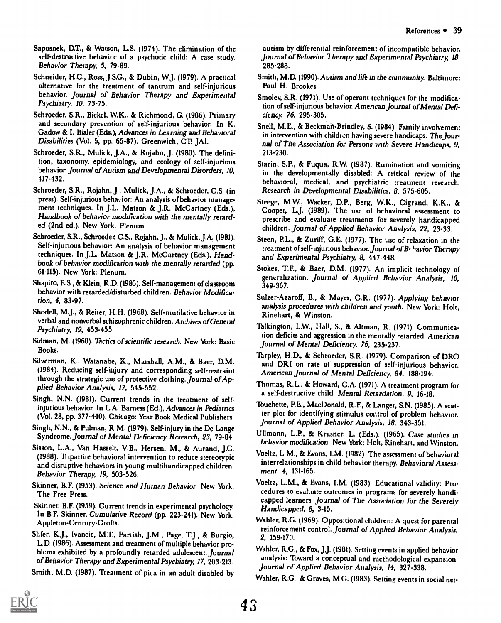Saposnek, D.T., & Watson, L.S. (1974). The elimination of the self-destructive behavior of a psychotic child: A case study. Behavior Therapy, 5, 79-89.

Schneider, H.C., Ross, J.S.G., & Dubin, W. J. (1979). A practical alternative for the treatment of tantrum and self-injurious behavior. Journal of Behavior Therapy and Experimental Psychiatry, 10, 73-75.

Schroeder, S.R., Bickel, W.K., & Richmond, G. (1986). Primary and secondary prevention of self-injurious behavior. In K. Gadow & I. Bialer (Eds.), Advances in Learning and Behavioral Disabilities (Vol. 5, pp. 65-87). Greenwich, CT. JAI.

Schroeder, S.R., Mulick, J.A., & Rojahn, J. (1980). The definition, taxonomy, epidemiology, and ecology of self-injurious behavior. Journal of Autism and Developmental Disorders, 10, 417-432.

Schroeder, S.R., Rojahn, J.. Mulick, J.A., & Schroeder, C.S. (in press). Self-injurious behavior: An analysis of behavior management techniques. In J.L. Matson & J.R. McCartney (Eds.), Handbook of behavior modification with the mentally retarded (2nd ed.). New York: Plenum.

Schroeder, S.R., Schroeder, C.S., Rojahn, J., & Mulick, J.A. (1981). Self-injurious behavior: An analysis of behavior management techniques. In J.L. Matson & J.R. McCartney (Eds.), Handbook of behavior modification with the mentally retarded (pp. 61-115). New York: Plenum.

Shapiro, E.S., & Klein, R.D. (1986). Self-management of classroom behavior with retarded/disturbed children. Behavior Modification, 4, 83-97.

Shodell, M.J., & Reiter, H.H. (1968). Self-mutilative behavior in verbal and nonverbal schizophrenic children. Archives of General Psychiatry, 19, 453-455.

Sidman, M. (1960). Thctics of scientific research. New York: Basic Books.

Silverman, K.. Watanabe, K., Marshall, A.M., & Baer, D.M. (1984). Reducing self-injury and corresponding self-restraint through the strategic use of protective clothing. Journal of Applied Behavior Analysis, 17, 545-552.

Singh, N.N. (1981). Current trends in the treatment of selfinjurious behavior. In L.A. Bamess (Ed.), Advances in Pediatrics (Vol. 28, pp. 377-440). Chicago: Year Book Medical Publishers,

Singh, N.N., & Pulman, R.M. (1979). Self-injury in the De Lange Syndrome. Journal of Mental Deficiency Research, 23, 79-84.

Sisson, L.A., Van Hasselt, V.B., Hersen, M., & Aurand, J.C. (1988). Tripartite behavioral intervention to reduce stereotypic and disruptive behaviors in young multihandicapped children. Behavior Therapy, 19, 503-526.

Skinner, B.F. (1953). Science and Human Behavior New York: The Free Press.

Skinner, B.F. (1959). Current trends in experimental psychology. In B.F. Skinner, Cumulative Record (pp. 223-241). New York: Appleton-Century-Crofts.

Slifer, KJ., Ivancic, M.T, Pariish, J.M., Page, TJ., & Burgio, L.D. (1986). Assessment and treatment of multiple behavior problems exhibited by a profoundly retarded adolescent. Journal of Behavior Therapy and Experimental Psychiatry, 17, 203-213.

Smith, M.D. (1987). Treatment of pica in an adult disabled by

autism by differential reinforcement of incompatible behavior. Journal of Behavior Therapy and Experimental Psychiatry, 18, 285-288.

- Smith, M.D. (1990). Autism and life in the community. Baltimore: Paul H. Brookes.
- Smolev, S.R. (1971). Use of operant techniques for the modification of self-injurious behavior. American Journal of Mental Deficiency, 76, 295-305.
- Snell, M.E., & Beckman-Brindley, S. (1984). Family involvement in intervention with children having severe handicaps. The Journal of The Association for Persons with Severe Handicaps, 9, 213-230.
- Starin, S.P., & Fuqua, R.W. (1987). Rumination and vomiting in the developmentally disabled: A critical review of the behavioral, medical, and psychiatric treatment research. Research in Developmental Disabilities, 8, 575-605.
- Steege, MW., Wacker, D.P., Berg, W.K., Cigrand, K.K., & Cooper, L.J. (1989). The use of behavioral assessment to prescribe and evaluate treatments for severely handicapped children. Journal of Applied Behavior Analysis, 22, 23-33.
- Steen, P.L., & Zuriff, G.E. (1977). The use of relaxation in the treatment of self-injurious behavior. Journal of Be havior Therapy and Experimental Psychiatry, 8, 447-448.
- Stokes, T.F., & Baer, D.M. (1977). An implicit technology of generalization. Journal of Applied Behavior Analysis, 10, 349-367.
- Sulzer-Azaroff, B., & Mayer, G.R. (1977). Applying behavior analysis procedures with children and youth. New York: Holt, Rinehart, & Winston.

Talkington, LW., Hall, S., & Altman, R. (1971). Communication deficits and aggression in the mentally retarded. American Journal of Mental Deficiency, 76, 235-237.

Tarpley, H.D., & Schroeder, S.R. (1979). Comparison of DRO and DRI on rate of suppression of self-injurious behavior. American Journal of Mental Deficiency, 84, 188-194.

- Thomas, R.L., & Howard, G.A. (1971). A treatment program for a self-destructive child. Mental Retardation, 9, 16-18.
- Touchette, P.E., MacDonald, R.F., & Langer, S.N. (1985). A scatter plot for identifying stimulus control of problem behavior. Journal of Applied Behavior Analysis, 18, 343-351.

Ullmann, L.P., & Krasner, L. (Eds.). (1965). Case studies in behavior modification. New York: Holt, Rinehart, and Winston.

- Voeltz, L.M., & Evans, I.M. (1982). The assessment of behavioral interrelationships in child behavior therapy. Behavioral Assessment, 4, 131-165.
- Voeltz, L.M., & Evans, I.M. (1983). Educational validity: Procedures to evaluate outcomes in programs for severely handicapped learners. Journal of The Association for the Severely Handicapped, 8, 3-15.
- Wahler, R.G. (1969). Oppositional children: A quest for parental reinforcement control. Journal of Applied Behavior Analysis, 2, 159-170,

Wahler, R.G., & Fox, J.J. (1981). Setting events in applied behavior analysis: Toward a conceptual and methodological expansion. Journal of Applied Behavior Analysis, 14, 327-338.

Wahler, R.G., & Graves, M.G. (1983). Setting events in social net-